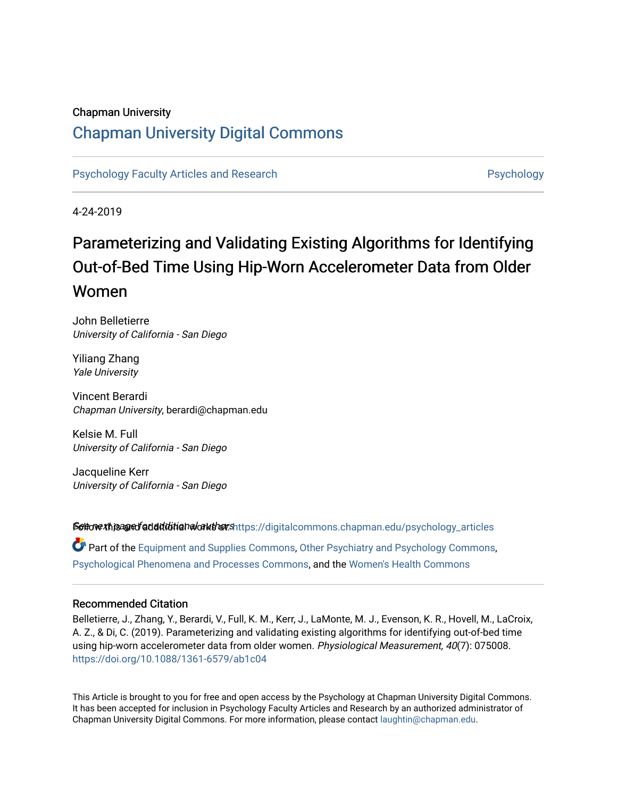#### Chapman University

## [Chapman University Digital Commons](https://digitalcommons.chapman.edu/)

[Psychology Faculty Articles and Research](https://digitalcommons.chapman.edu/psychology_articles) **Provident Contact Contact Articles and Research** Psychology

4-24-2019

## Parameterizing and Validating Existing Algorithms for Identifying Out-of-Bed Time Using Hip-Worn Accelerometer Data from Older Women

John Belletierre University of California - San Diego

Yiliang Zhang Yale University

Vincent Berardi Chapman University, berardi@chapman.edu

Kelsie M. Full University of California - San Diego

Jacqueline Kerr University of California - San Diego

Settovext page faddiditional authors [https://digitalcommons.chapman.edu/psychology\\_articles](https://digitalcommons.chapman.edu/psychology_articles?utm_source=digitalcommons.chapman.edu%2Fpsychology_articles%2F151&utm_medium=PDF&utm_campaign=PDFCoverPages) Part of the [Equipment and Supplies Commons](http://network.bepress.com/hgg/discipline/944?utm_source=digitalcommons.chapman.edu%2Fpsychology_articles%2F151&utm_medium=PDF&utm_campaign=PDFCoverPages), [Other Psychiatry and Psychology Commons,](http://network.bepress.com/hgg/discipline/992?utm_source=digitalcommons.chapman.edu%2Fpsychology_articles%2F151&utm_medium=PDF&utm_campaign=PDFCoverPages) [Psychological Phenomena and Processes Commons](http://network.bepress.com/hgg/discipline/914?utm_source=digitalcommons.chapman.edu%2Fpsychology_articles%2F151&utm_medium=PDF&utm_campaign=PDFCoverPages), and the [Women's Health Commons](http://network.bepress.com/hgg/discipline/1241?utm_source=digitalcommons.chapman.edu%2Fpsychology_articles%2F151&utm_medium=PDF&utm_campaign=PDFCoverPages) 

#### Recommended Citation

Belletierre, J., Zhang, Y., Berardi, V., Full, K. M., Kerr, J., LaMonte, M. J., Evenson, K. R., Hovell, M., LaCroix, A. Z., & Di, C. (2019). Parameterizing and validating existing algorithms for identifying out-of-bed time using hip-worn accelerometer data from older women. Physiological Measurement, 40(7): 075008. <https://doi.org/10.1088/1361-6579/ab1c04>

This Article is brought to you for free and open access by the Psychology at Chapman University Digital Commons. It has been accepted for inclusion in Psychology Faculty Articles and Research by an authorized administrator of Chapman University Digital Commons. For more information, please contact [laughtin@chapman.edu](mailto:laughtin@chapman.edu).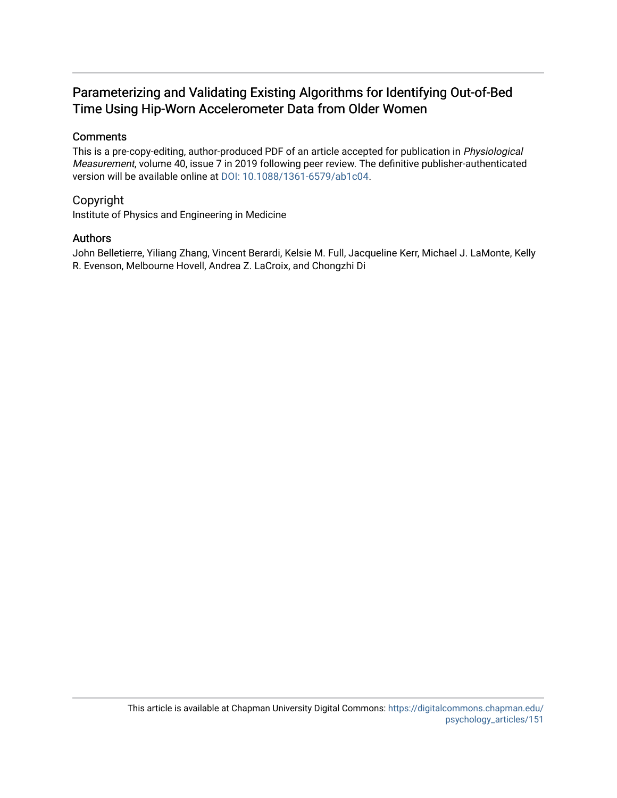### Parameterizing and Validating Existing Algorithms for Identifying Out-of-Bed Time Using Hip-Worn Accelerometer Data from Older Women

#### **Comments**

This is a pre-copy-editing, author-produced PDF of an article accepted for publication in Physiological Measurement, volume 40, issue 7 in 2019 following peer review. The definitive publisher-authenticated version will be available online at [DOI: 10.1088/1361-6579/ab1c04](https://doi.org/10.1088/1361-6579/ab1c04).

#### Copyright

Institute of Physics and Engineering in Medicine

#### Authors

John Belletierre, Yiliang Zhang, Vincent Berardi, Kelsie M. Full, Jacqueline Kerr, Michael J. LaMonte, Kelly R. Evenson, Melbourne Hovell, Andrea Z. LaCroix, and Chongzhi Di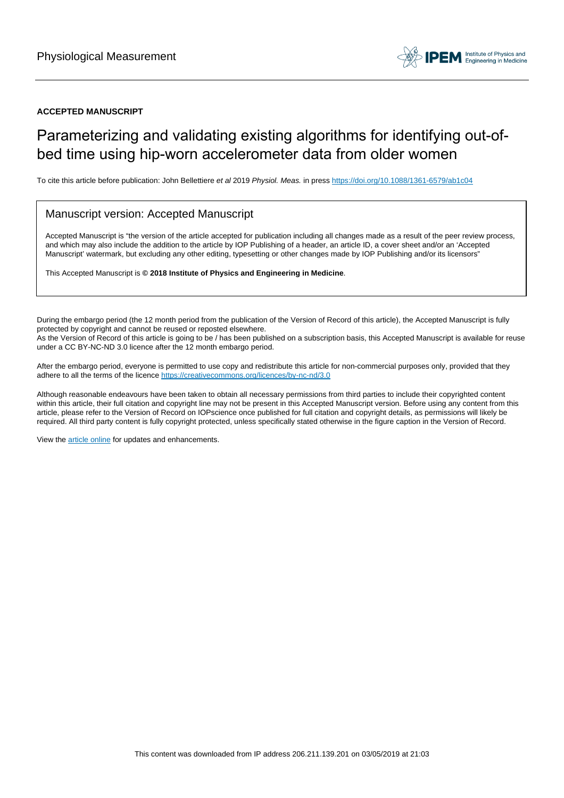#### **ACCEPTED MANUSCRIPT**

## Parameterizing and validating existing algorithms for identifying out-ofbed time using hip-worn accelerometer data from older women

To cite this article before publication: John Bellettiere et al 2019 Physiol. Meas. in press <https://doi.org/10.1088/1361-6579/ab1c04>

#### Manuscript version: Accepted Manuscript

Accepted Manuscript is "the version of the article accepted for publication including all changes made as a result of the peer review process, and which may also include the addition to the article by IOP Publishing of a header, an article ID, a cover sheet and/or an 'Accepted Manuscript' watermark, but excluding any other editing, typesetting or other changes made by IOP Publishing and/or its licensors"

This Accepted Manuscript is **© 2018 Institute of Physics and Engineering in Medicine**.

During the embargo period (the 12 month period from the publication of the Version of Record of this article), the Accepted Manuscript is fully protected by copyright and cannot be reused or reposted elsewhere. As the Version of Record of this article is going to be / has been published on a subscription basis, this Accepted Manuscript is available for reuse under a CC BY-NC-ND 3.0 licence after the 12 month embargo period.

After the embargo period, everyone is permitted to use copy and redistribute this article for non-commercial purposes only, provided that they adhere to all the terms of the licence <https://creativecommons.org/licences/by-nc-nd/3.0>

Although reasonable endeavours have been taken to obtain all necessary permissions from third parties to include their copyrighted content within this article, their full citation and copyright line may not be present in this Accepted Manuscript version. Before using any content from this article, please refer to the Version of Record on IOPscience once published for full citation and copyright details, as permissions will likely be required. All third party content is fully copyright protected, unless specifically stated otherwise in the figure caption in the Version of Record.

View the [article online](https://doi.org/10.1088/1361-6579/ab1c04) for updates and enhancements.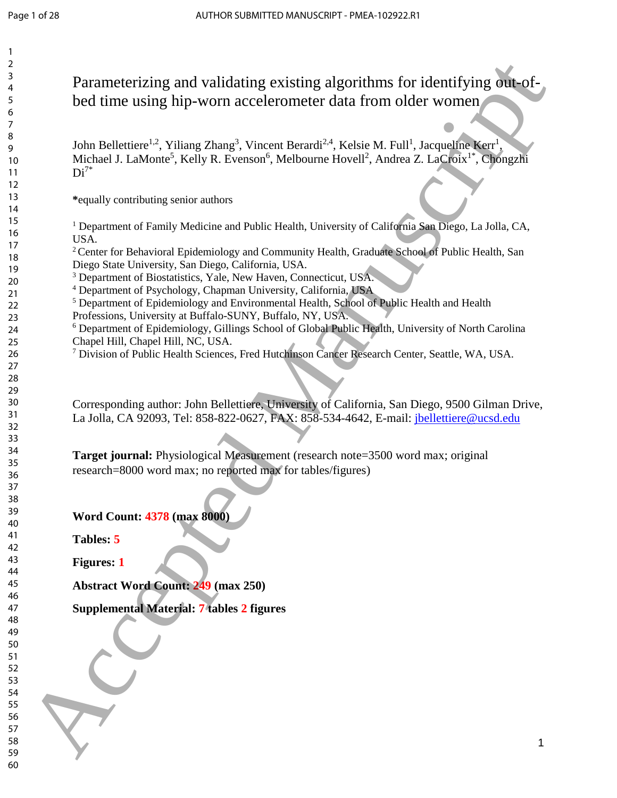| 2<br>3   |                                                                                                                                                                                                   |
|----------|---------------------------------------------------------------------------------------------------------------------------------------------------------------------------------------------------|
| 4        | Parameterizing and validating existing algorithms for identifying out-of-                                                                                                                         |
| 5        | bed time using hip-worn accelerometer data from older women                                                                                                                                       |
| 6<br>7   |                                                                                                                                                                                                   |
| 8        |                                                                                                                                                                                                   |
| 9        | John Bellettiere <sup>1,2</sup> , Yiliang Zhang <sup>3</sup> , Vincent Berardi <sup>2,4</sup> , Kelsie M. Full <sup>1</sup> , Jacqueline Kerr <sup>1</sup> ,                                      |
| 10<br>11 | Michael J. LaMonte <sup>5</sup> , Kelly R. Evenson <sup>6</sup> , Melbourne Hovell <sup>2</sup> , Andrea Z. LaCroix <sup>1*</sup> , Chongzhi<br>$Di^{7*}$                                         |
| 12       |                                                                                                                                                                                                   |
| 13       | *equally contributing senior authors                                                                                                                                                              |
| 14       |                                                                                                                                                                                                   |
| 15<br>16 | <sup>1</sup> Department of Family Medicine and Public Health, University of California San Diego, La Jolla, CA,                                                                                   |
| 17       | USA.                                                                                                                                                                                              |
| 18       | <sup>2</sup> Center for Behavioral Epidemiology and Community Health, Graduate School of Public Health, San                                                                                       |
| 19       | Diego State University, San Diego, California, USA.<br><sup>3</sup> Department of Biostatistics, Yale, New Haven, Connecticut, USA.                                                               |
| 20<br>21 | <sup>4</sup> Department of Psychology, Chapman University, California, USA                                                                                                                        |
| 22       | <sup>5</sup> Department of Epidemiology and Environmental Health, School of Public Health and Health                                                                                              |
| 23       | Professions, University at Buffalo-SUNY, Buffalo, NY, USA.                                                                                                                                        |
| 24<br>25 | <sup>6</sup> Department of Epidemiology, Gillings School of Global Public Health, University of North Carolina<br>Chapel Hill, Chapel Hill, NC, USA.                                              |
| 26       | <sup>7</sup> Division of Public Health Sciences, Fred Hutchinson Cancer Research Center, Seattle, WA, USA.                                                                                        |
| 27       |                                                                                                                                                                                                   |
| 28       |                                                                                                                                                                                                   |
| 29<br>30 |                                                                                                                                                                                                   |
| 31       | Corresponding author: John Bellettiere, University of California, San Diego, 9500 Gilman Drive,<br>La Jolla, CA 92093, Tel: 858-822-0627, FAX: 858-534-4642, E-mail: <i>jbellettiere@ucsd.edu</i> |
| 32       |                                                                                                                                                                                                   |
| 33<br>34 |                                                                                                                                                                                                   |
| 35       | Target journal: Physiological Measurement (research note=3500 word max; original                                                                                                                  |
| 36       | research=8000 word max; no reported max for tables/figures)                                                                                                                                       |
| 37       |                                                                                                                                                                                                   |
| 38<br>39 |                                                                                                                                                                                                   |
| 40       | Word Count: 4378 (max 8000)                                                                                                                                                                       |
| 41       | Tables: 5                                                                                                                                                                                         |
| 42<br>43 |                                                                                                                                                                                                   |
| 44       | <b>Figures: 1</b>                                                                                                                                                                                 |
| 45       | <b>Abstract Word Count: 249 (max 250)</b>                                                                                                                                                         |
| 46<br>47 | Supplemental Material: 7 tables 2 figures                                                                                                                                                         |
| 48       |                                                                                                                                                                                                   |
| 49       |                                                                                                                                                                                                   |
| 50<br>51 |                                                                                                                                                                                                   |
| 52       |                                                                                                                                                                                                   |
| 53       |                                                                                                                                                                                                   |
| 54<br>55 |                                                                                                                                                                                                   |
| 56       |                                                                                                                                                                                                   |
| 57       |                                                                                                                                                                                                   |
| 58       | 1                                                                                                                                                                                                 |
| 59<br>60 |                                                                                                                                                                                                   |
|          |                                                                                                                                                                                                   |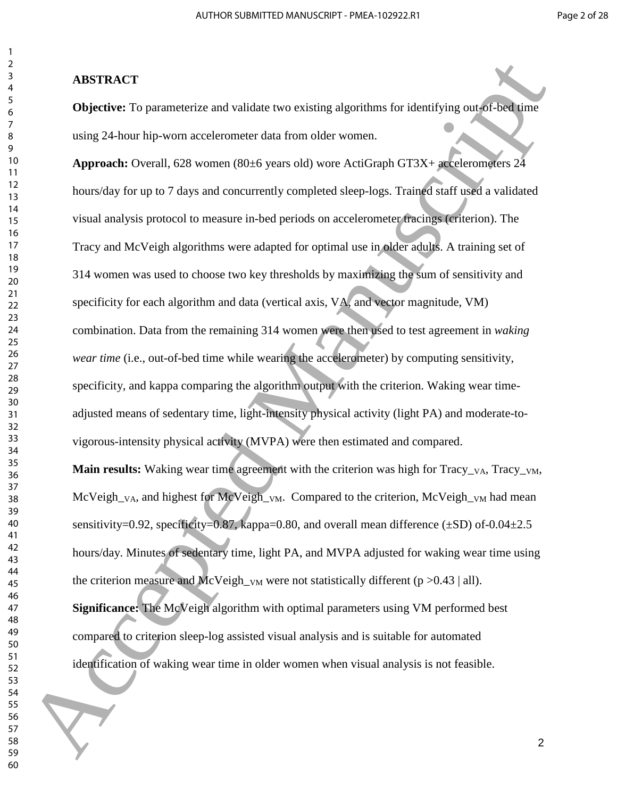#### **ABSTRACT**

**Objective:** To parameterize and validate two existing algorithms for identifying out-of-bed time using 24-hour hip-worn accelerometer data from older women.

**Approach:** Overall, 628 women (80±6 years old) wore ActiGraph GT3X+ accelerometers 24 hours/day for up to 7 days and concurrently completed sleep-logs. Trained staff used a validated visual analysis protocol to measure in-bed periods on accelerometer tracings (criterion). The Tracy and McVeigh algorithms were adapted for optimal use in older adults. A training set of 314 women was used to choose two key thresholds by maximizing the sum of sensitivity and specificity for each algorithm and data (vertical axis, VA, and vector magnitude, VM) combination. Data from the remaining 314 women were then used to test agreement in *waking wear time* (i.e., out-of-bed time while wearing the accelerometer) by computing sensitivity, specificity, and kappa comparing the algorithm output with the criterion. Waking wear timeadjusted means of sedentary time, light-intensity physical activity (light PA) and moderate-tovigorous-intensity physical activity (MVPA) were then estimated and compared. **Main results:** Waking wear time agreement with the criterion was high for Tracy\_<sub>VA</sub>, Tracy\_<sub>VM</sub>,  $McVeigh_{VA}$ , and highest for  $McVeigh_{VM}$ . Compared to the criterion,  $McVeigh_{VM}$  had mean sensitivity=0.92, specificity=0.87, kappa=0.80, and overall mean difference ( $\pm$ SD) of-0.04 $\pm$ 2.5 hours/day. Minutes of sedentary time, light PA, and MVPA adjusted for waking wear time using the criterion measure and McVeigh\_v<sub>M</sub> were not statistically different (p  $>0.43$  | all). **Significance:** The McVeigh algorithm with optimal parameters using VM performed best compared to criterion sleep-log assisted visual analysis and is suitable for automated **AISTRACT**<br>
Solution: The parameterize and validate two existing algorithms for identifying out of Findulanus<br>  $\frac{2}{3}$  Objectives: To parameterize and salidate two existing algorithms for identifying out of Findulanus<br>

identification of waking wear time in older women when visual analysis is not feasible.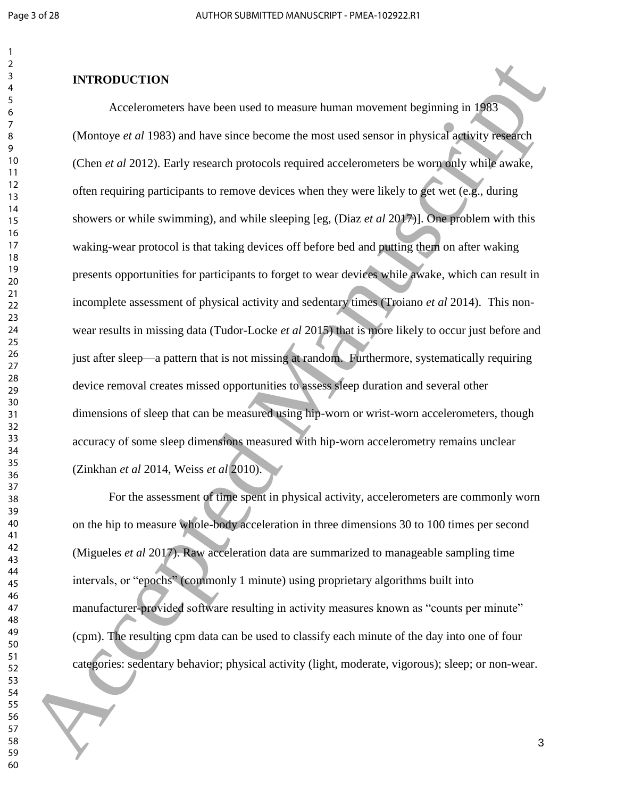#### **INTRODUCTION**

Accelerometers have been used to measure human movement beginning in 1983 (Montoye *et al* 1983) and have since become the most used sensor in physical activity research (Chen *et al* 2012). Early research protocols required accelerometers be worn only while awake, often requiring participants to remove devices when they were likely to get wet (e.g., during showers or while swimming), and while sleeping [eg, (Diaz *et al* 2017)]. One problem with this waking-wear protocol is that taking devices off before bed and putting them on after waking presents opportunities for participants to forget to wear devices while awake, which can result in incomplete assessment of physical activity and sedentary times (Troiano *et al* 2014). This nonwear results in missing data (Tudor-Locke *et al* 2015) that is more likely to occur just before and just after sleep—a pattern that is not missing at random. Furthermore, systematically requiring device removal creates missed opportunities to assess sleep duration and several other dimensions of sleep that can be measured using hip-worn or wrist-worn accelerometers, though accuracy of some sleep dimensions measured with hip-worn accelerometry remains unclear (Zinkhan *et al* 2014, Weiss *et al* 2010). **EXTRODUCTION**<br>
Acceleranceus have been used to measure human inviennes hagiening in 1987<br>
(Manuscrie of 1983) and have since hectors the most used sensor in physical registive measure<br>
(Chen er of 2012). Forly research p

For the assessment of time spent in physical activity, accelerometers are commonly worn on the hip to measure whole-body acceleration in three dimensions 30 to 100 times per second (Migueles *et al* 2017). Raw acceleration data are summarized to manageable sampling time intervals, or "epochs" (commonly 1 minute) using proprietary algorithms built into manufacturer-provided software resulting in activity measures known as "counts per minute" (cpm). The resulting cpm data can be used to classify each minute of the day into one of four categories: sedentary behavior; physical activity (light, moderate, vigorous); sleep; or non-wear.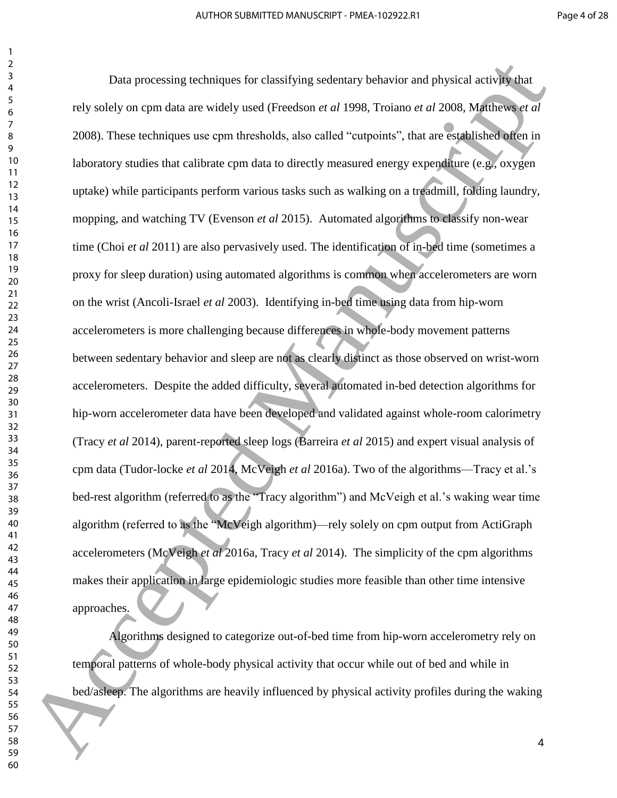Data processing techniques for classifying sedentary behavior and physical activity that rely solely on cpm data are widely used (Freedson *et al* 1998, Troiano *et al* 2008, Matthews *et al* 2008). These techniques use cpm thresholds, also called "cutpoints", that are established often in laboratory studies that calibrate cpm data to directly measured energy expenditure (e.g., oxygen uptake) while participants perform various tasks such as walking on a treadmill, folding laundry, mopping, and watching TV (Evenson *et al* 2015). Automated algorithms to classify non-wear time (Choi *et al* 2011) are also pervasively used. The identification of in-bed time (sometimes a proxy for sleep duration) using automated algorithms is common when accelerometers are worn on the wrist (Ancoli-Israel *et al* 2003). Identifying in-bed time using data from hip-worn accelerometers is more challenging because differences in whole-body movement patterns between sedentary behavior and sleep are not as clearly distinct as those observed on wrist-worn accelerometers. Despite the added difficulty, several automated in-bed detection algorithms for hip-worn accelerometer data have been developed and validated against whole-room calorimetry (Tracy *et al* 2014), parent-reported sleep logs (Barreira *et al* 2015) and expert visual analysis of cpm data (Tudor-locke *et al* 2014, McVeigh *et al* 2016a). Two of the algorithms—Tracy et al.'s bed-rest algorithm (referred to as the "Tracy algorithm") and McVeigh et al.'s waking wear time algorithm (referred to as the "McVeigh algorithm)—rely solely on cpm output from ActiGraph accelerometers (McVeigh *et al* 2016a, Tracy *et al* 2014). The simplicity of the cpm algorithms makes their application in large epidemiologic studies more feasible than other time intensive approaches. Dut processing techniques (in classifying sedentary beliavior and physical sativity that<br>
is younger the solely on equal at a sevisibly used (Freedom et al. 1998, Froiano et al. 2008, Manuscript<br>
2008). These inclusions u

Algorithms designed to categorize out-of-bed time from hip-worn accelerometry rely on temporal patterns of whole-body physical activity that occur while out of bed and while in bed/asleep. The algorithms are heavily influenced by physical activity profiles during the waking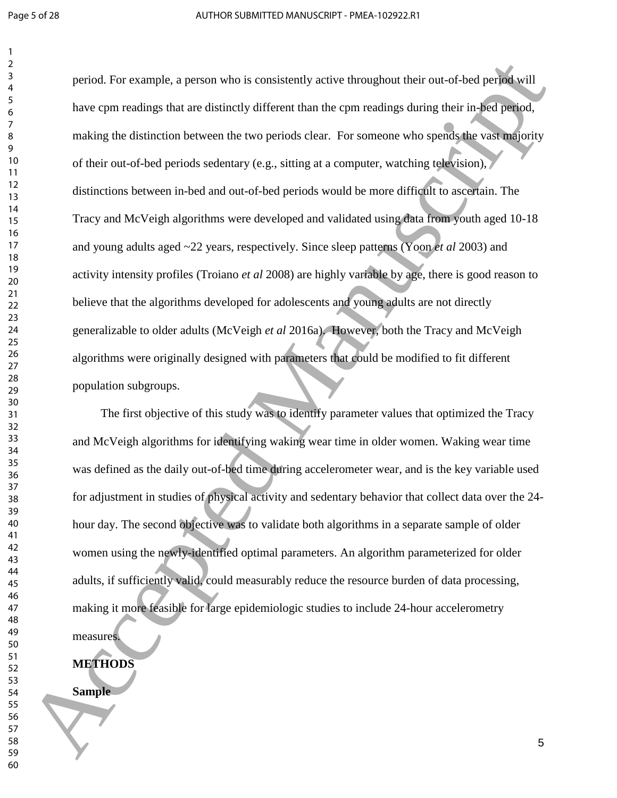period. For example, a person who is consistently active throughout their out-of-bed period will have cpm readings that are distinctly different than the cpm readings during their in-bed period, making the distinction between the two periods clear. For someone who spends the vast majority of their out-of-bed periods sedentary (e.g., sitting at a computer, watching television), distinctions between in-bed and out-of-bed periods would be more difficult to ascertain. The Tracy and McVeigh algorithms were developed and validated using data from youth aged 10-18 and young adults aged ~22 years, respectively. Since sleep patterns (Yoon *et al* 2003) and activity intensity profiles (Troiano *et al* 2008) are highly variable by age, there is good reason to believe that the algorithms developed for adolescents and young adults are not directly generalizable to older adults (McVeigh *et al* 2016a). However, both the Tracy and McVeigh algorithms were originally designed with parameters that could be modified to fit different population subgroups. Period. For example, a person who is consistently active throughout their out-of-bed period, solid and the contraction of the period state of the space of the space of the space of the space of the space of the space of t

The first objective of this study was to identify parameter values that optimized the Tracy and McVeigh algorithms for identifying waking wear time in older women. Waking wear time was defined as the daily out-of-bed time during accelerometer wear, and is the key variable used for adjustment in studies of physical activity and sedentary behavior that collect data over the 24 hour day. The second objective was to validate both algorithms in a separate sample of older women using the newly-identified optimal parameters. An algorithm parameterized for older adults, if sufficiently valid, could measurably reduce the resource burden of data processing, making it more feasible for large epidemiologic studies to include 24-hour accelerometry

measures. **METHODS**

**Sample**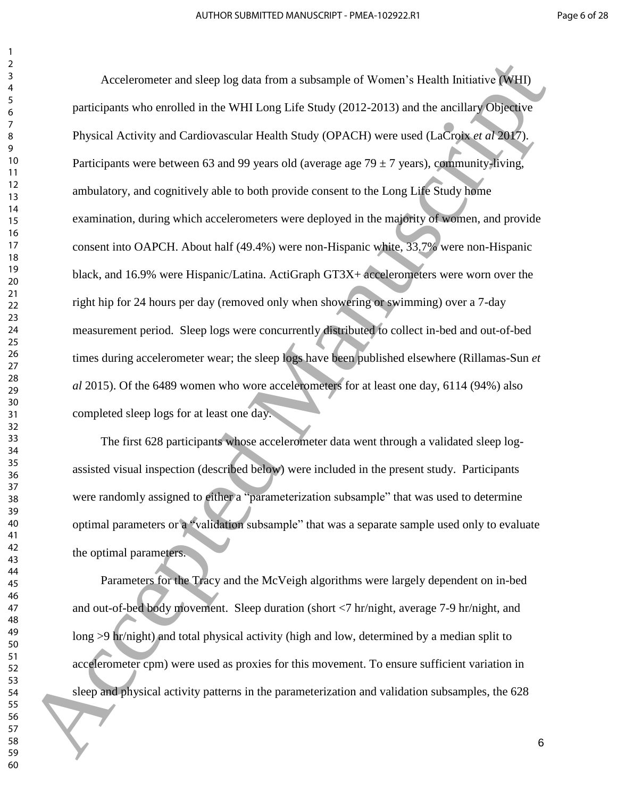Accelerometer and sleep log data from a subsample of Women's Health Initiative (WHI) participants who enrolled in the WHI Long Life Study (2012-2013) and the ancillary Objective Physical Activity and Cardiovascular Health Study (OPACH) were used (LaCroix *et al* 2017). Participants were between 63 and 99 years old (average age  $79 \pm 7$  years), community-living, ambulatory, and cognitively able to both provide consent to the Long Life Study home examination, during which accelerometers were deployed in the majority of women, and provide consent into OAPCH. About half (49.4%) were non-Hispanic white, 33.7% were non-Hispanic black, and 16.9% were Hispanic/Latina. ActiGraph GT3X+ accelerometers were worn over the right hip for 24 hours per day (removed only when showering or swimming) over a 7-day measurement period. Sleep logs were concurrently distributed to collect in-bed and out-of-bed times during accelerometer wear; the sleep logs have been published elsewhere (Rillamas-Sun *et al* 2015). Of the 6489 women who wore accelerometers for at least one day, 6114 (94%) also completed sleep logs for at least one day. Accelerometer and skep log-data from a subsample of Women's Health Initiative MUII<br>
participants who enrolled in the WHI Long Life Stady (2012-2013) and the arcillary Origenter<br>
Physical Accivity and Candinosacular Health

The first 628 participants whose accelerometer data went through a validated sleep logassisted visual inspection (described below) were included in the present study. Participants were randomly assigned to either a "parameterization subsample" that was used to determine optimal parameters or a "validation subsample" that was a separate sample used only to evaluate the optimal parameters.

Parameters for the Tracy and the McVeigh algorithms were largely dependent on in-bed and out-of-bed body movement. Sleep duration (short <7 hr/night, average 7-9 hr/night, and long  $>9$  hr/night) and total physical activity (high and low, determined by a median split to accelerometer cpm) were used as proxies for this movement. To ensure sufficient variation in sleep and physical activity patterns in the parameterization and validation subsamples, the 628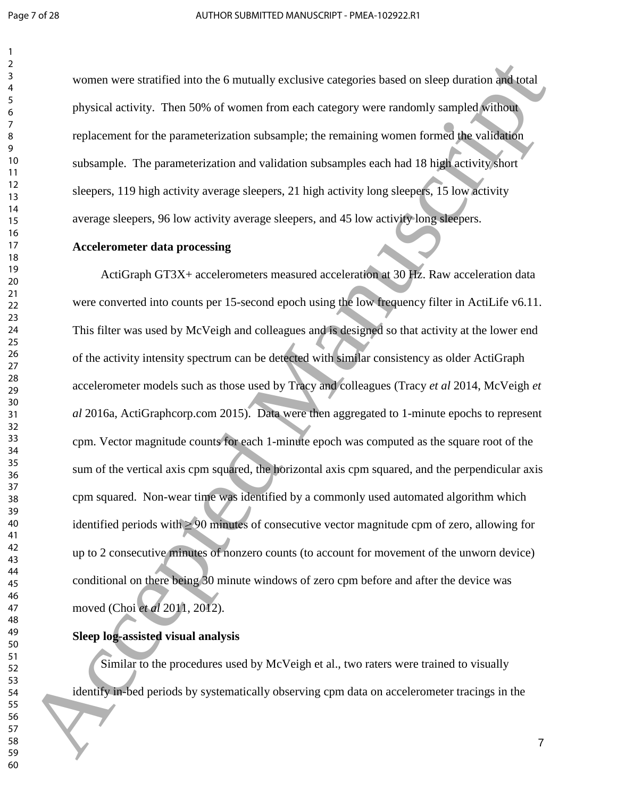women were stratified into the 6 mutually exclusive categories based on sleep duration and total physical activity. Then 50% of women from each category were randomly sampled without replacement for the parameterization subsample; the remaining women formed the validation subsample. The parameterization and validation subsamples each had 18 high activity short sleepers, 119 high activity average sleepers, 21 high activity long sleepers, 15 low activity average sleepers, 96 low activity average sleepers, and 45 low activity long sleepers.

#### **Accelerometer data processing**

ActiGraph GT3X+ accelerometers measured acceleration at 30 Hz. Raw acceleration data were converted into counts per 15-second epoch using the low frequency filter in ActiLife v6.11. This filter was used by McVeigh and colleagues and is designed so that activity at the lower end of the activity intensity spectrum can be detected with similar consistency as older ActiGraph accelerometer models such as those used by Tracy and colleagues (Tracy *et al* 2014, McVeigh *et al* 2016a, ActiGraphcorp.com 2015). Data were then aggregated to 1-minute epochs to represent cpm. Vector magnitude counts for each 1-minute epoch was computed as the square root of the sum of the vertical axis cpm squared, the horizontal axis cpm squared, and the perpendicular axis cpm squared. Non-wear time was identified by a commonly used automated algorithm which identified periods with  $\geq 90$  minutes of consecutive vector magnitude cpm of zero, allowing for up to 2 consecutive minutes of nonzero counts (to account for movement of the unworn device) conditional on there being 30 minute windows of zero cpm before and after the device was moved (Choi *et al* 2011, 2012). somen were stratified into the 6 matually exclusive categories based on steep duration applysical activity. Then 50% of somen from each category seen randomly sampled with an episcical explored manuscription schemes forme

#### **Sleep log-assisted visual analysis**

Similar to the procedures used by McVeigh et al., two raters were trained to visually identify in-bed periods by systematically observing cpm data on accelerometer tracings in the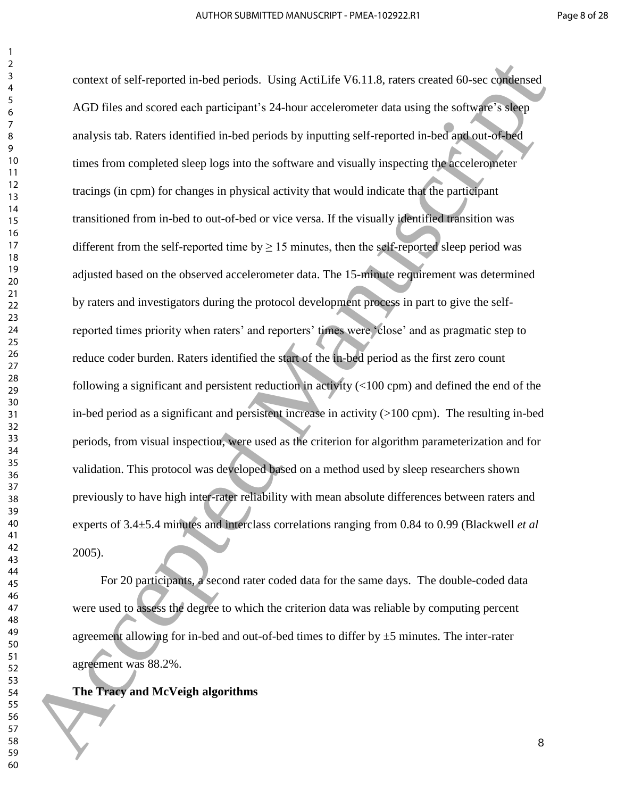context of self-reported in-bed periods. Using ActiLife V6.11.8, raters created 60-sec condensed AGD files and scored each participant's 24-hour accelerometer data using the software's sleep analysis tab. Raters identified in-bed periods by inputting self-reported in-bed and out-of-bed times from completed sleep logs into the software and visually inspecting the accelerometer tracings (in cpm) for changes in physical activity that would indicate that the participant transitioned from in-bed to out-of-bed or vice versa. If the visually identified transition was different from the self-reported time by  $\geq 15$  minutes, then the self-reported sleep period was adjusted based on the observed accelerometer data. The 15-minute requirement was determined by raters and investigators during the protocol development process in part to give the selfreported times priority when raters' and reporters' times were 'close' and as pragmatic step to reduce coder burden. Raters identified the start of the in-bed period as the first zero count following a significant and persistent reduction in activity (<100 cpm) and defined the end of the in-bed period as a significant and persistent increase in activity (>100 cpm). The resulting in-bed periods, from visual inspection, were used as the criterion for algorithm parameterization and for validation. This protocol was developed based on a method used by sleep researchers shown previously to have high inter-rater reliability with mean absolute differences between raters and experts of 3.4±5.4 minutes and interclass correlations ranging from 0.84 to 0.99 (Blackwell *et al* 2005). context of self-respond in-bed periods. Using Actil, it is, must condet 60-secondered and<br>
ACD files and second cash participant's 24-lean accelerometer data using the software Shape<br>
analysis tab. Rearcs densitied in-bed

For 20 participants, a second rater coded data for the same days. The double-coded data were used to assess the degree to which the criterion data was reliable by computing percent agreement allowing for in-bed and out-of-bed times to differ by  $\pm 5$  minutes. The inter-rater agreement was 88.2%.

#### **The Tracy and McVeigh algorithms**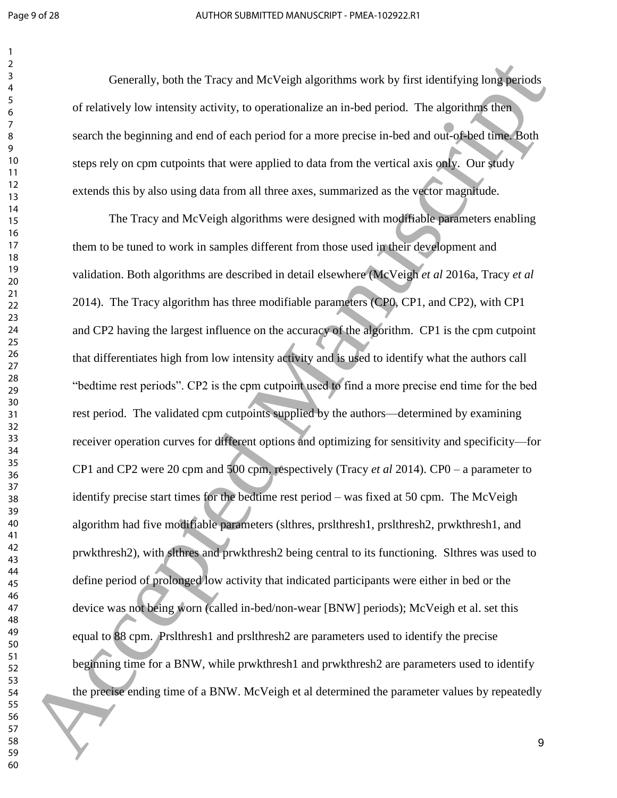Generally, both the Tracy and McVeigh algorithms work by first identifying long periods of relatively low intensity activity, to operationalize an in-bed period. The algorithms then search the beginning and end of each period for a more precise in-bed and out-of-bed time. Both steps rely on cpm cutpoints that were applied to data from the vertical axis only. Our study extends this by also using data from all three axes, summarized as the vector magnitude.

The Tracy and McVeigh algorithms were designed with modifiable parameters enabling them to be tuned to work in samples different from those used in their development and validation. Both algorithms are described in detail elsewhere (McVeigh *et al* 2016a, Tracy *et al* 2014). The Tracy algorithm has three modifiable parameters (CP0, CP1, and CP2), with CP1 and CP2 having the largest influence on the accuracy of the algorithm. CP1 is the cpm cutpoint that differentiates high from low intensity activity and is used to identify what the authors call "bedtime rest periods". CP2 is the cpm cutpoint used to find a more precise end time for the bed rest period. The validated cpm cutpoints supplied by the authors—determined by examining receiver operation curves for different options and optimizing for sensitivity and specificity—for CP1 and CP2 were 20 cpm and 500 cpm, respectively (Tracy *et al* 2014). CP0 – a parameter to identify precise start times for the bedtime rest period – was fixed at 50 cpm. The McVeigh algorithm had five modifiable parameters (slthres, prslthresh1, prslthresh2, prwkthresh1, and prwkthresh2), with slthres and prwkthresh2 being central to its functioning. Slthres was used to define period of prolonged low activity that indicated participants were either in bed or the device was not being worn (called in-bed/non-wear [BNW] periods); McVeigh et al. set this equal to 88 cpm. Prslthresh1 and prslthresh2 are parameters used to identify the precise beginning time for a BNW, while prwkthresh1 and prwkthresh2 are parameters used to identify the precise ending time of a BNW. McVeigh et al determined the parameter values by repeatedly Generally, both the Timey and McVeigh algorithms work by first identifying the properties<br>
of relatively have intensivy activity, to operationalize an in-bad period. The algorithmy states<br>
search the heginning and end of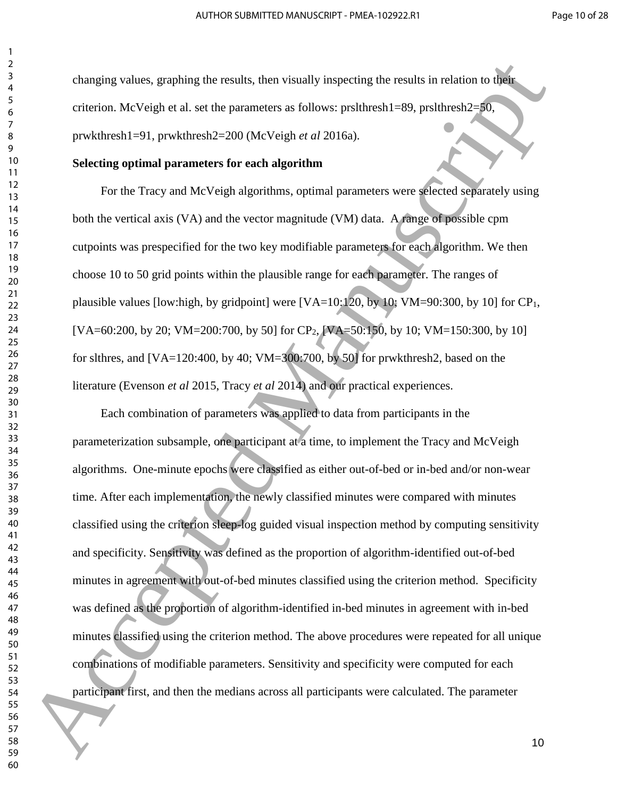changing values, graphing the results, then visually inspecting the results in relation to their criterion. McVeigh et al. set the parameters as follows: prslthresh $1=89$ , prslthresh $2=50$ , prwkthresh1=91, prwkthresh2=200 (McVeigh *et al* 2016a).

#### **Selecting optimal parameters for each algorithm**

For the Tracy and McVeigh algorithms, optimal parameters were selected separately using both the vertical axis (VA) and the vector magnitude (VM) data. A range of possible cpm cutpoints was prespecified for the two key modifiable parameters for each algorithm. We then choose 10 to 50 grid points within the plausible range for each parameter. The ranges of plausible values [low:high, by gridpoint] were  $[VA=10:120, by 10; VM=90:300, by 10]$  for  $CP<sub>1</sub>$ , [VA=60:200, by 20; VM=200:700, by 50] for CP<sub>2</sub>, [VA=50:150, by 10; VM=150:300, by 10] for slthres, and [VA=120:400, by 40; VM=300:700, by 50] for prwkthresh2, based on the literature (Evenson *et al* 2015, Tracy *et al* 2014) and our practical experiences.

Each combination of parameters was applied to data from participants in the parameterization subsample, one participant at a time, to implement the Tracy and McVeigh algorithms. One-minute epochs were classified as either out-of-bed or in-bed and/or non-wear time. After each implementation, the newly classified minutes were compared with minutes classified using the criterion sleep-log guided visual inspection method by computing sensitivity and specificity. Sensitivity was defined as the proportion of algorithm-identified out-of-bed minutes in agreement with out-of-bed minutes classified using the criterion method. Specificity was defined as the proportion of algorithm-identified in-bed minutes in agreement with in-bed minutes classified using the criterion method. The above procedures were repeated for all unique combinations of modifiable parameters. Sensitivity and specificity were computed for each participant first, and then the medians across all participants were calculated. The parameter density values, graphing the results, then visually inspecting the results in relation to the<br>
spacificant McVeight et al. set the parameters as follows: positives in expansion of the control of the spacificant of the par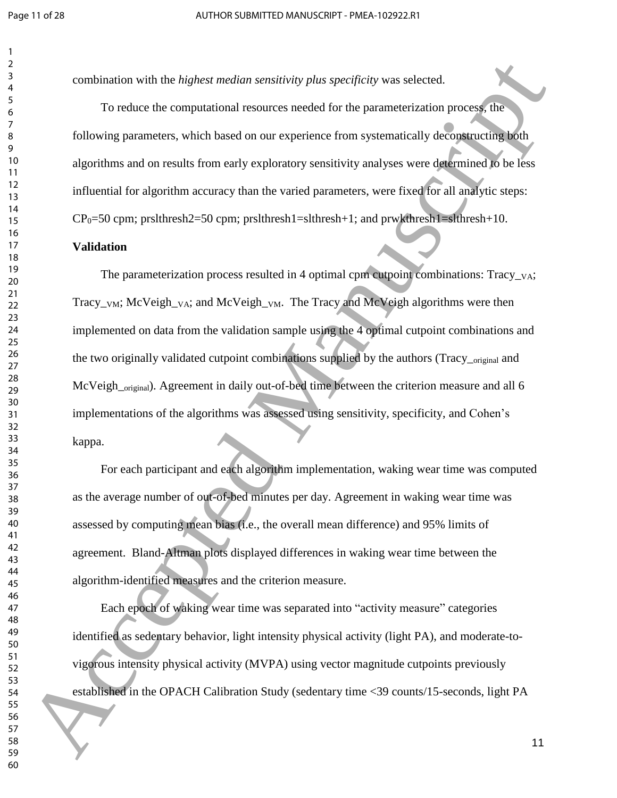combination with the *highest median sensitivity plus specificity* was selected.

To reduce the computational resources needed for the parameterization process, the following parameters, which based on our experience from systematically deconstructing both algorithms and on results from early exploratory sensitivity analyses were determined to be less influential for algorithm accuracy than the varied parameters, were fixed for all analytic steps:  $CP_0$ =50 cpm; prslthresh2=50 cpm; prslthresh1=slthresh+1; and prwkthresh1=slthresh+10.

#### **Validation**

The parameterization process resulted in 4 optimal cpm cutpoint combinations: Tracy\_v<sub>A</sub>; Tracy<sub>\_VM</sub>; McVeigh<sub>\_VA</sub>; and McVeigh<sub>\_VM</sub>. The Tracy and McVeigh algorithms were then implemented on data from the validation sample using the 4 optimal cutpoint combinations and the two originally validated cutpoint combinations supplied by the authors (Tracy\_original and McVeigh\_original). Agreement in daily out-of-bed time between the criterion measure and all 6 implementations of the algorithms was assessed using sensitivity, specificity, and Cohen's kappa. contributions with the higher modium standard resources we<br>held the modium state of the parameters were defined as<br> $\frac{2}{3}$  The basine garanteers, which has<br>ed on our experience from systematically decreasing the<br>manuscr

For each participant and each algorithm implementation, waking wear time was computed as the average number of out-of-bed minutes per day. Agreement in waking wear time was assessed by computing mean bias (i.e., the overall mean difference) and 95% limits of agreement. Bland-Altman plots displayed differences in waking wear time between the algorithm-identified measures and the criterion measure.

Each epoch of waking wear time was separated into "activity measure" categories identified as sedentary behavior, light intensity physical activity (light PA), and moderate-tovigorous intensity physical activity (MVPA) using vector magnitude cutpoints previously established in the OPACH Calibration Study (sedentary time <39 counts/15-seconds, light PA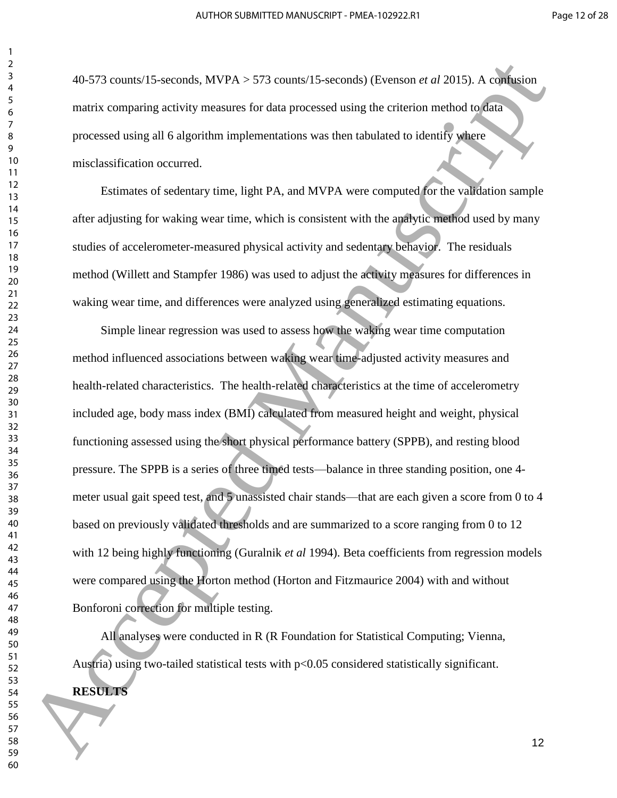40-573 counts/15-seconds, MVPA > 573 counts/15-seconds) (Evenson *et al* 2015). A confusion matrix comparing activity measures for data processed using the criterion method to data processed using all 6 algorithm implementations was then tabulated to identify where misclassification occurred.

Estimates of sedentary time, light PA, and MVPA were computed for the validation sample after adjusting for waking wear time, which is consistent with the analytic method used by many studies of accelerometer-measured physical activity and sedentary behavior. The residuals method (Willett and Stampfer 1986) was used to adjust the activity measures for differences in waking wear time, and differences were analyzed using generalized estimating equations.

Simple linear regression was used to assess how the waking wear time computation method influenced associations between waking wear time-adjusted activity measures and health-related characteristics. The health-related characteristics at the time of accelerometry included age, body mass index (BMI) calculated from measured height and weight, physical functioning assessed using the short physical performance battery (SPPB), and resting blood pressure. The SPPB is a series of three timed tests—balance in three standing position, one 4 meter usual gait speed test, and 5 unassisted chair stands—that are each given a score from 0 to 4 based on previously validated thresholds and are summarized to a score ranging from 0 to 12 with 12 being highly functioning (Guralnik *et al* 1994). Beta coefficients from regression models were compared using the Horton method (Horton and Fitzmaurice 2004) with and without Bonforoni correction for multiple testing. **40.973** counter15 securints, MVPA > 573 counts/15 securints) (Iventson et al.2015). A comparison matrix comparing activity measures for this processed ming les criterion method in the<br>
processed nearge all following meas

All analyses were conducted in R (R Foundation for Statistical Computing; Vienna, Austria) using two-tailed statistical tests with p<0.05 considered statistically significant. **RESULTS**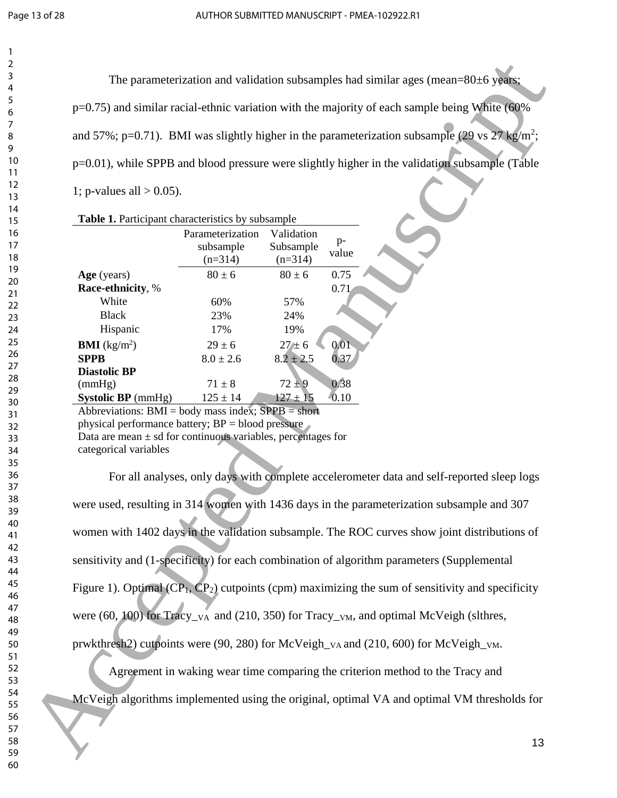The parameterization and validation subsamples had similar ages (mean= $80±6$  years; p=0.75) and similar racial-ethnic variation with the majority of each sample being White (60% and 57%; p=0.71). BMI was slightly higher in the parameterization subsample (29 vs  $27 \text{ kg/m}^2$ ; p=0.01), while SPPB and blood pressure were slightly higher in the validation subsample (Table 1; p-values all  $> 0.05$ ).

|  | <b>Table 1.</b> Participant characteristics by subsample |  |
|--|----------------------------------------------------------|--|
|  |                                                          |  |

|                                                                                                                                                                                                                                                                                                                                                            | Parameterization<br>subsample<br>$(n=314)$ | Validation<br>Subsample<br>$(n=314)$ | $p-$<br>value |  |
|------------------------------------------------------------------------------------------------------------------------------------------------------------------------------------------------------------------------------------------------------------------------------------------------------------------------------------------------------------|--------------------------------------------|--------------------------------------|---------------|--|
| Age (years)                                                                                                                                                                                                                                                                                                                                                | $80 \pm 6$                                 | $80 \pm 6$                           | 0.75          |  |
| Race-ethnicity, %                                                                                                                                                                                                                                                                                                                                          |                                            |                                      | 0.71          |  |
| White                                                                                                                                                                                                                                                                                                                                                      | 60%                                        | 57%                                  |               |  |
| <b>Black</b>                                                                                                                                                                                                                                                                                                                                               | 23%                                        | 24%                                  |               |  |
| Hispanic                                                                                                                                                                                                                                                                                                                                                   | 17%                                        | 19%                                  |               |  |
| <b>BMI</b> ( $\text{kg/m}^2$ )                                                                                                                                                                                                                                                                                                                             | $29 \pm 6$                                 | $27 \pm 6$                           | 0.01          |  |
| <b>SPPB</b>                                                                                                                                                                                                                                                                                                                                                | $8.0 \pm 2.6$                              | $8.2 \pm 2.5$                        | 0.37          |  |
| <b>Diastolic BP</b>                                                                                                                                                                                                                                                                                                                                        |                                            |                                      |               |  |
| (mmHg)                                                                                                                                                                                                                                                                                                                                                     | $71 \pm 8$                                 | $72 + 9$                             | 0.38          |  |
| <b>Systolic BP</b> (mmHg)                                                                                                                                                                                                                                                                                                                                  | $125 \pm 14$                               | $127 \pm 15$                         | 0.10          |  |
| $\Delta$ b h $\alpha$ b $\alpha$ b $\alpha$ b $\alpha$ b $\Delta$ b $\alpha$ b $\alpha$ b $\alpha$ b $\alpha$ b $\alpha$ b $\alpha$ b $\alpha$ b $\alpha$ b $\alpha$ b $\alpha$ b $\alpha$ b $\alpha$ b $\alpha$ b $\alpha$ b $\alpha$ b $\alpha$ b $\alpha$ b $\alpha$ b $\alpha$ b $\alpha$ b $\alpha$ b $\alpha$ b $\alpha$ b $\alpha$ b $\alpha$ b $\$ |                                            |                                      |               |  |

Abbreviations:  $BMI = body$  mass index;  $SPPB = short$ 

physical performance battery;  $BP = blood pressure$ 

Data are mean  $\pm$  sd for continuous variables, percentages for

categorical variables

For all analyses, only days with complete accelerometer data and self-reported sleep logs were used, resulting in 314 women with 1436 days in the parameterization subsample and 307 women with 1402 days in the validation subsample. The ROC curves show joint distributions of sensitivity and (1-specificity) for each combination of algorithm parameters (Supplemental Figure 1). Optimal  $(CP_1, CP_2)$  cutpoints (cpm) maximizing the sum of sensitivity and specificity were (60, 100) for Tracy  $V_A$  and (210, 350) for Tracy  $V_M$ , and optimal McVeigh (slthres, prwkthresh2) cutpoints were (90, 280) for McVeigh  $_{VA}$  and (210, 600) for McVeigh  $_{VM}$ . The parameterization and variations subsamples tast similar ages (mean-Sticky spin <br>  $\frac{3}{2}$  p=1.25) and similar racial sthrive sariation with the majority of each sample being What (Manuscript<br>
and 57%; p=0.71). BMI wa

Agreement in waking wear time comparing the criterion method to the Tracy and

McVeigh algorithms implemented using the original, optimal VA and optimal VM thresholds for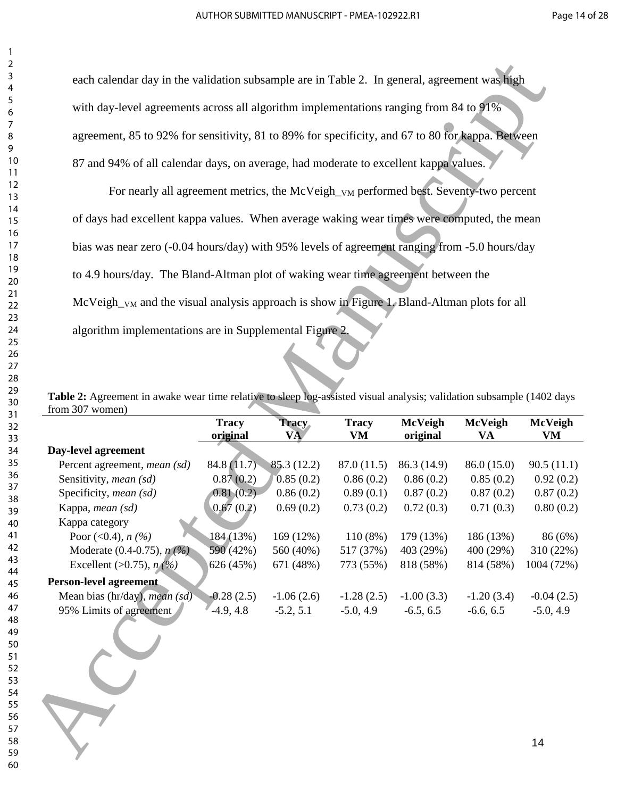Table 2: Agreement in awake wear time relative to sleep log-assisted visual analysis; validation subsample (1402 days from 307 women)

| each calendar day in the validation subsample are in Table 2. In general, agreement was high                          |                          |                        |                        |                            |                             |                         |
|-----------------------------------------------------------------------------------------------------------------------|--------------------------|------------------------|------------------------|----------------------------|-----------------------------|-------------------------|
| with day-level agreements across all algorithm implementations ranging from 84 to 91%                                 |                          |                        |                        |                            |                             |                         |
|                                                                                                                       |                          |                        |                        |                            |                             |                         |
| agreement, 85 to 92% for sensitivity, 81 to 89% for specificity, and 67 to 80 for kappa. Between                      |                          |                        |                        |                            |                             |                         |
| 87 and 94% of all calendar days, on average, had moderate to excellent kappa values.                                  |                          |                        |                        |                            |                             |                         |
| For nearly all agreement metrics, the McVeigh_v <sub>M</sub> performed best. Seventy-two percent                      |                          |                        |                        |                            |                             |                         |
| of days had excellent kappa values. When average waking wear times were computed, the mean                            |                          |                        |                        |                            |                             |                         |
| bias was near zero (-0.04 hours/day) with 95% levels of agreement ranging from -5.0 hours/day                         |                          |                        |                        |                            |                             |                         |
| to 4.9 hours/day. The Bland-Altman plot of waking wear time agreement between the                                     |                          |                        |                        |                            |                             |                         |
|                                                                                                                       |                          |                        |                        |                            |                             |                         |
| McVeigh_v <sub>M</sub> and the visual analysis approach is show in Figure 1. Bland-Altman plots for all               |                          |                        |                        |                            |                             |                         |
| algorithm implementations are in Supplemental Figure 2.                                                               |                          |                        |                        |                            |                             |                         |
|                                                                                                                       |                          |                        |                        |                            |                             |                         |
|                                                                                                                       |                          |                        |                        |                            |                             |                         |
|                                                                                                                       |                          |                        |                        |                            |                             |                         |
|                                                                                                                       |                          |                        |                        |                            |                             |                         |
| Table 2: Agreement in awake wear time relative to sleep log-assisted visual analysis; validation subsample (1402 days |                          |                        |                        |                            |                             |                         |
| from 307 women)                                                                                                       | <b>Tracy</b><br>original | <b>Tracy</b><br>VĀ     | <b>Tracy</b><br>VM     | <b>McVeigh</b><br>original | <b>McVeigh</b><br><b>VA</b> | <b>McVeigh</b><br>VM    |
| Day-level agreement                                                                                                   |                          |                        |                        |                            |                             |                         |
| Percent agreement, mean (sd)                                                                                          | 84.8(11.7)               | 85.3(12.2)             | 87.0 (11.5)            | 86.3 (14.9)                | 86.0 (15.0)                 | 90.5(11.1)              |
| Sensitivity, mean (sd)                                                                                                | 0.87(0.2)                | 0.85(0.2)              | 0.86(0.2)              | 0.86(0.2)                  | 0.85(0.2)                   | 0.92(0.2)               |
| Specificity, mean (sd)                                                                                                | 0.81(0.2)                | 0.86(0.2)              | 0.89(0.1)              | 0.87(0.2)                  | 0.87(0.2)                   | 0.87(0.2)               |
| Kappa, <i>mean</i> (sd)                                                                                               | 0.67(0.2)                | 0.69(0.2)              | 0.73(0.2)              | 0.72(0.3)                  | 0.71(0.3)                   | 0.80(0.2)               |
| Kappa category                                                                                                        |                          | 169 (12%)              |                        |                            |                             |                         |
| Poor (<0.4), $n$ (%)                                                                                                  | 184(13%)                 |                        | $110(8\%)$             | 179 (13%)                  | 186 (13%)                   | 86 (6%)                 |
| Moderate $(0.4-0.75)$ , $n$ $(%)$<br>Excellent (>0.75), $n$ (%)                                                       | 590 (42%)<br>626 (45%)   | 560 (40%)<br>671 (48%) | 517 (37%)<br>773 (55%) | 403 (29%)<br>818 (58%)     | 400 (29%)<br>814 (58%)      | 310 (22%)<br>1004 (72%) |
|                                                                                                                       |                          |                        |                        |                            |                             |                         |
| Mean bias (hr/day), mean (sd)                                                                                         | $-0.28(2.5)$             | $-1.06(2.6)$           | $-1.28(2.5)$           | $-1.00(3.3)$               | $-1.20(3.4)$                | $-0.04(2.5)$            |
| 95% Limits of agreement                                                                                               | $-4.9, 4.8$              | $-5.2, 5.1$            | $-5.0, 4.9$            | $-6.5, 6.5$                | $-6.6, 6.5$                 | $-5.0, 4.9$             |
| Person-level agreement                                                                                                |                          |                        |                        |                            |                             |                         |
|                                                                                                                       |                          |                        |                        |                            |                             |                         |
|                                                                                                                       |                          |                        |                        |                            |                             |                         |
|                                                                                                                       |                          |                        |                        |                            |                             |                         |
|                                                                                                                       |                          |                        |                        |                            |                             |                         |
|                                                                                                                       |                          |                        |                        |                            |                             | 14                      |
|                                                                                                                       |                          |                        |                        |                            |                             |                         |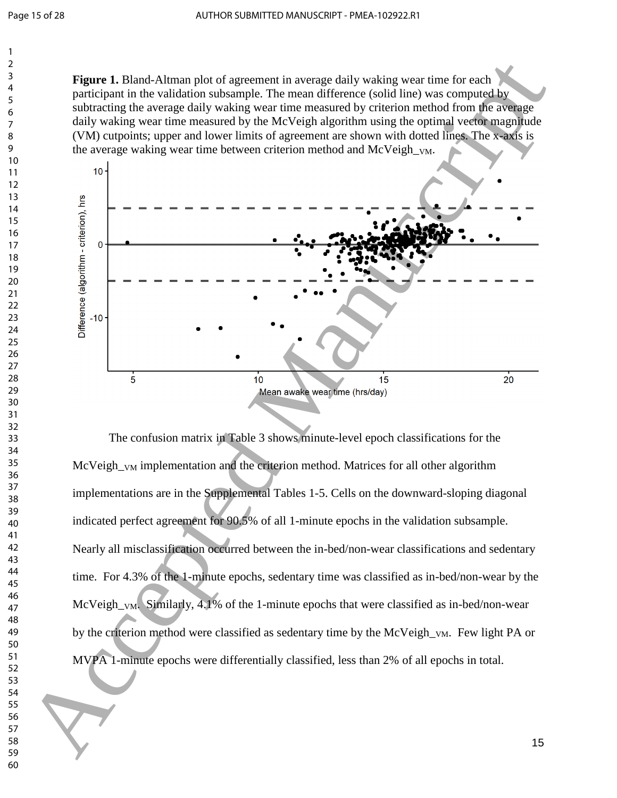**Figure 1.** Bland-Altman plot of agreement in average daily waking wear time for each participant in the validation subsample. The mean difference (solid line) was computed by subtracting the average daily waking wear time measured by criterion method from the average daily waking wear time measured by the McVeigh algorithm using the optimal vector magnitude (VM) cutpoints; upper and lower limits of agreement are shown with dotted lines. The x-axis is the average waking wear time between criterion method and McVeigh\_VM.



The confusion matrix in Table 3 shows minute-level epoch classifications for the McVeigh<sub>\_VM</sub> implementation and the criterion method. Matrices for all other algorithm implementations are in the Supplemental Tables 1-5. Cells on the downward-sloping diagonal indicated perfect agreement for 90.5% of all 1-minute epochs in the validation subsample. Nearly all misclassification occurred between the in-bed/non-wear classifications and sedentary time. For 4.3% of the 1-minute epochs, sedentary time was classified as in-bed/non-wear by the McVeigh  $_{VM}$ . Similarly, 4.1% of the 1-minute epochs that were classified as in-bed/non-wear by the criterion method were classified as sedentary time by the McVeigh  $_{VM}$ . Few light PA or MVPA 1-minute epochs were differentially classified, less than 2% of all epochs in total.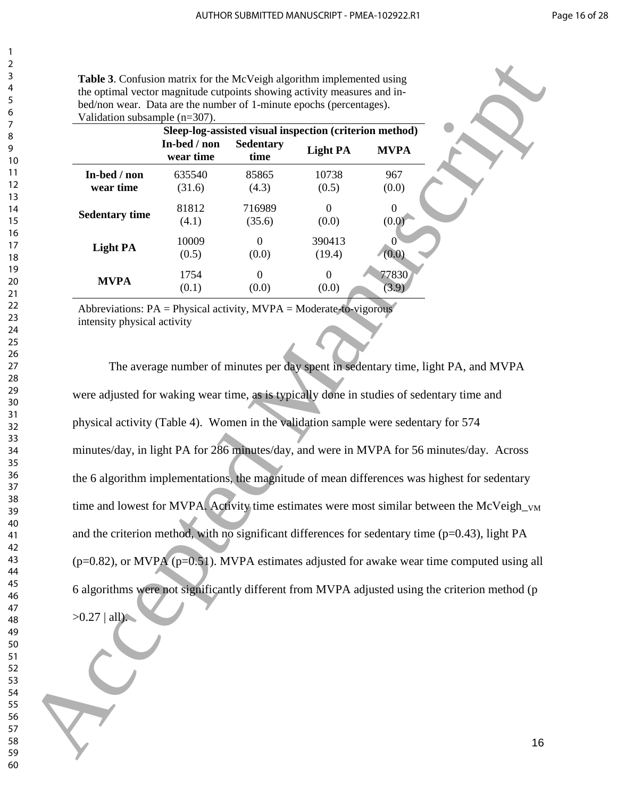**Table 3**. Confusion matrix for the McVeigh algorithm implemented using the optimal vector magnitude cutpoints showing activity measures and inbed/non wear. Data are the number of 1-minute epochs (percentages). Validation subsample (n=307).

|                       |                           | Sleep-log-assisted visual inspection (criterion method) |                 |             |
|-----------------------|---------------------------|---------------------------------------------------------|-----------------|-------------|
|                       | In-bed / non<br>wear time | <b>Sedentary</b><br>time                                | <b>Light PA</b> | <b>MVPA</b> |
| In-bed / non          | 635540                    | 85865                                                   | 10738           | 967         |
| wear time             | (31.6)                    | (4.3)                                                   | (0.5)           | (0.0)       |
|                       | 81812                     | 716989                                                  | $\Omega$        | $\Omega$    |
| <b>Sedentary time</b> | (4.1)                     | (35.6)                                                  | (0.0)           | (0.0)       |
|                       | 10009                     | $\Omega$                                                | 390413          |             |
| <b>Light PA</b>       | (0.5)                     | (0.0)                                                   | (19.4)          | (0.0)       |
|                       | 1754                      | $\Omega$                                                | $\Omega$        | 77830       |
| <b>MVPA</b>           | (0.1)                     | (0.0)                                                   | (0.0)           | (3.9)       |

Abbreviations:  $PA = Physical activity$ ,  $MVPA = Moderate-to-vigorous$ intensity physical activity

The average number of minutes per day spent in sedentary time, light PA, and MVPA were adjusted for waking wear time, as is typically done in studies of sedentary time and physical activity (Table 4). Women in the validation sample were sedentary for 574 minutes/day, in light PA for 286 minutes/day, and were in MVPA for 56 minutes/day. Across the 6 algorithm implementations, the magnitude of mean differences was highest for sedentary time and lowest for MVPA. Activity time estimates were most similar between the McVeigh<sub>\_VM</sub> and the criterion method, with no significant differences for sedentary time ( $p=0.43$ ), light PA  $(p=0.82)$ , or MVPA  $(p=0.51)$ . MVPA estimates adjusted for awake wear time computed using all 6 algorithms were not significantly different from MVPA adjusted using the criterion method (p Table 3. Confusion mutris for the McViciga algorithm implemented using<br>the equivariant sumplementary density (resume confirm of the entropy and the entropy and the entropy and the entropy and the entropy and the entropy a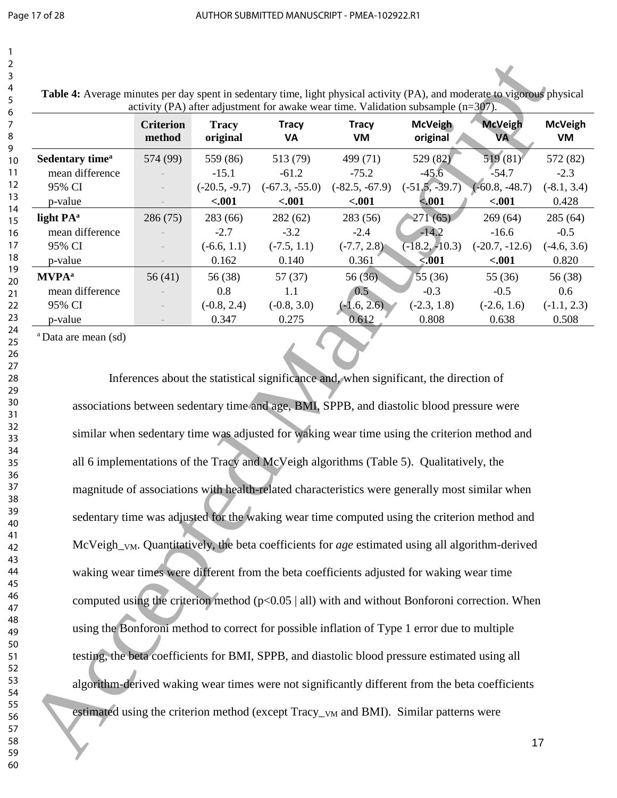|                             | <b>Criterion</b><br>method | <b>Tracy</b><br>original | <b>Tracy</b><br><b>VA</b> | <b>Tracy</b><br><b>VM</b> | <b>McVeigh</b><br>original | <b>McVeigh</b><br>VA | <b>McVeigh</b><br>VM |
|-----------------------------|----------------------------|--------------------------|---------------------------|---------------------------|----------------------------|----------------------|----------------------|
| Sedentary time <sup>a</sup> | 574 (99)                   | 559 (86)                 | 513 (79)                  | 499 (71)                  | 529 (82)                   | 519(81)              | 572 (82)             |
| mean difference             |                            | $-15.1$                  | $-61.2$                   | $-75.2$                   | $-45.6$                    | $-54.7$              | $-2.3$               |
| 95% CI                      |                            | $(-20.5, -9.7)$          | $(-67.3, -55.0)$          | $(-82.5, -67.9)$          | $(-51.5, -39.7)$           | $(-60.8, -48.7)$     | $(-8.1, 3.4)$        |
| p-value                     |                            | $-.001$                  | $-.001$                   | $-.001$                   | $-.001$                    | $-.001$              | 0.428                |
| light PA <sup>a</sup>       | 286(75)                    | 283 (66)                 | 282(62)                   | 283 (56)                  | 271(65)                    | 269(64)              | 285 (64)             |
| mean difference             |                            | $-2.7$                   | $-3.2$                    | $-2.4$                    | $-14.2$                    | $-16.6$              | $-0.5$               |
| 95% CI                      |                            | $(-6.6, 1.1)$            | $(-7.5, 1.1)$             | $(-7.7, 2.8)$             | (18.2, 10.3)               | $(-20.7, -12.6)$     | $(-4.6, 3.6)$        |
| p-value                     |                            | 0.162                    | 0.140                     | 0.361                     | < .001                     | $-.001$              | 0.820                |
| <b>MVPA</b> <sup>a</sup>    | 56(41)                     | 56 (38)                  | 57(37)                    | 56(36)                    | 55 $(36)$                  | 55 (36)              | 56 (38)              |
| mean difference             |                            | 0.8                      | 1.1                       | 0.5                       | $-0.3$                     | $-0.5$               | 0.6                  |
| 95% CI                      |                            | $(-0.8, 2.4)$            | $(-0.8, 3.0)$             | $(-1.6, 2.6)$             | $(-2.3, 1.8)$              | $(-2.6, 1.6)$        | $(-1.1, 2.3)$        |
| p-value                     |                            | 0.347                    | 0.275                     | 0.612                     | 0.808                      | 0.638                | 0.508                |

Inferences about the statistical significance and, when significant, the direction of associations between sedentary time and age, BMI, SPPB, and diastolic blood pressure were similar when sedentary time was adjusted for waking wear time using the criterion method and all 6 implementations of the Tracy and McVeigh algorithms (Table 5). Qualitatively, the magnitude of associations with health-related characteristics were generally most similar when sedentary time was adjusted for the waking wear time computed using the criterion method and McVeigh\_VM. Quantitatively, the beta coefficients for *age* estimated using all algorithm-derived waking wear times were different from the beta coefficients adjusted for waking wear time computed using the criterion method ( $p<0.05$  | all) with and without Bonforoni correction. When using the Bonforoni method to correct for possible inflation of Type 1 error due to multiple testing, the beta coefficients for BMI, SPPB, and diastolic blood pressure estimated using all algorithm-derived waking wear times were not significantly different from the beta coefficients estimated using the criterion method (except Tracy  $_{\text{VM}}$  and BMI). Similar patterns were **2**<br> **Example 4:** Accepts manuscript day special a science since the hydroid are only (*PA*), and anothers as a special science of the state of the state of the state of the state of the state of the state of the state of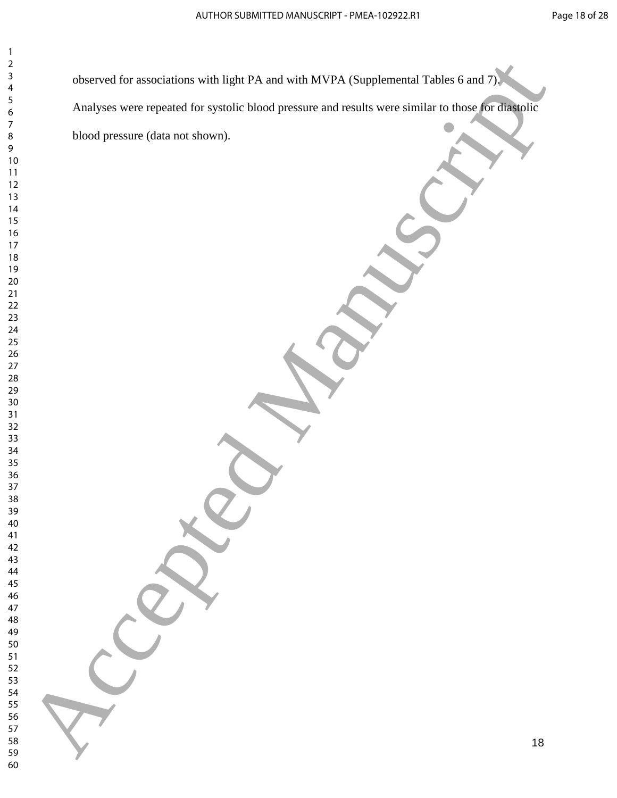observed for associations with light PA and with MVPA (Supplemental Tables 6 and 7). Analyses were repeated for systolic blood pressure and results were similar to those for diastolic blood pressure (data not shown). oberred for associations with light PA and with MVPA (Supplement) Tables 6 and 7)<br>Analyses were reputated for cyclotic blond pressure and results were similar to those practices and results<br>blond pressure (data not shown).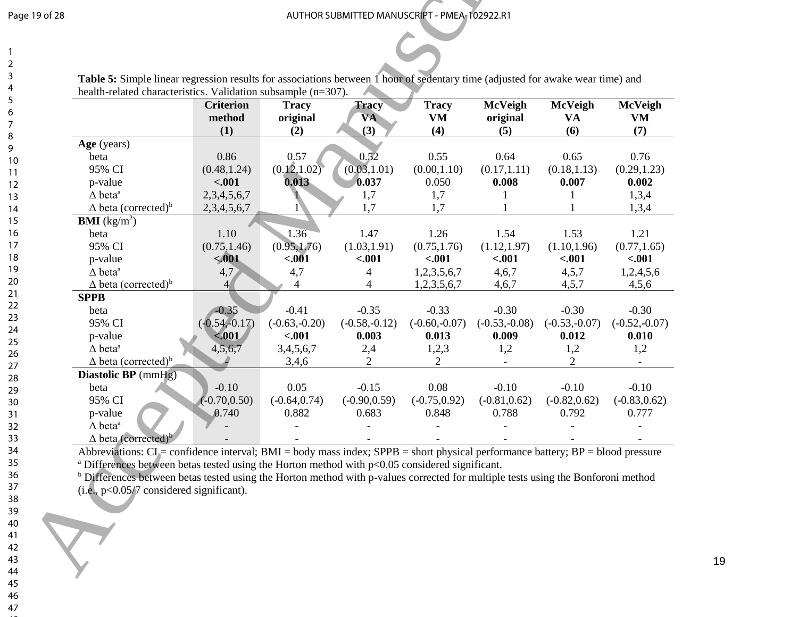# Page 19 of 28 AUTHOR SUBMITTED MANUSCRIPT - PMEA-102922.R1<br>1<br>2

| Table 5: Simple linear regression results for associations between 1 hour of sedentary time (adjusted for awake wear time) and |  |
|--------------------------------------------------------------------------------------------------------------------------------|--|
| health-related characteristics. Validation subsample $(n=307)$ .                                                               |  |

| Table 5: Simple linear regression results for associations between 1 hour of sedentary time (adjusted for awake wear time) and<br>health-related characteristics. Validation subsample (n=307). | <b>Criterion</b><br>method | <b>Tracy</b><br>original | Tracy<br><b>VA</b> | <b>Tracy</b><br><b>VM</b> | <b>McVeigh</b><br>original | <b>McVeigh</b><br><b>VA</b> | <b>McVeigh</b><br>VM |
|-------------------------------------------------------------------------------------------------------------------------------------------------------------------------------------------------|----------------------------|--------------------------|--------------------|---------------------------|----------------------------|-----------------------------|----------------------|
| Age (years)                                                                                                                                                                                     | (1)                        | (2)                      | (3)                | (4)                       | (5)                        | (6)                         | (7)                  |
| beta                                                                                                                                                                                            | 0.86                       | 0.57                     | 0.52               | 0.55                      | 0.64                       | 0.65                        | 0.76                 |
| 95% CI                                                                                                                                                                                          | (0.48, 1.24)               | (0.12, 1.02)             | (0.03, 1.01)       | (0.00, 1.10)              | (0.17, 1.11)               | (0.18, 1.13)                | (0.29, 1.23)         |
| p-value                                                                                                                                                                                         | $-.001$                    | 0.013                    | 0.037              | 0.050                     | 0.008                      | 0.007                       | 0.002                |
| $\Delta$ beta <sup>a</sup>                                                                                                                                                                      | 2,3,4,5,6,7                |                          | 1,7                | 1,7                       |                            |                             | 1,3,4                |
| $\Delta$ beta (corrected) <sup>b</sup>                                                                                                                                                          | 2,3,4,5,6,7                |                          | 1,7                | 1,7                       |                            |                             | 1,3,4                |
| <b>BMI</b> ( $\text{kg/m}^2$ )                                                                                                                                                                  |                            |                          |                    |                           |                            |                             |                      |
| beta                                                                                                                                                                                            | 1.10                       | 1.36                     | 1.47               | 1.26                      | 1.54                       | 1.53                        | 1.21                 |
| 95% CI                                                                                                                                                                                          | (0.75, 1.46)               | (0.95, 1.76)             | (1.03, 1.91)       | (0.75, 1.76)              | (1.12, 1.97)               | (1.10, 1.96)                | (0.77, 1.65)         |
| p-value                                                                                                                                                                                         | $-.001$                    | $-.001$                  | $-.001$            | $-.001$                   | $-.001$                    | $-.001$                     | $-.001$              |
| $\Delta$ beta <sup>a</sup>                                                                                                                                                                      | $\overline{4,7}$           | 4,7                      | 4                  | 1,2,3,5,6,7               | 4,6,7                      | 4,5,7                       | 1,2,4,5,6            |
| $\Delta$ beta (corrected) <sup>b</sup>                                                                                                                                                          | $\overline{4}$             | 4                        | 4                  | 1,2,3,5,6,7               | 4,6,7                      | 4, 5, 7                     | 4,5,6                |
| <b>SPPB</b>                                                                                                                                                                                     |                            |                          |                    |                           |                            |                             |                      |
| beta                                                                                                                                                                                            | $-0.35$                    | $-0.41$                  | $-0.35$            | $-0.33$                   | $-0.30$                    | $-0.30$                     | $-0.30$              |
| 95% CI                                                                                                                                                                                          | $(-0.54,-0.17)$            | $(-0.63,-0.20)$          | $(-0.58,-0.12)$    | $(-0.60,-0.07)$           | $(-0.53,-0.08)$            | $(-0.53,-0.07)$             | $(-0.52,-0.07)$      |
|                                                                                                                                                                                                 |                            | $-.001$                  |                    |                           | 0.009                      |                             |                      |
| p-value                                                                                                                                                                                         | $\leq 001$                 |                          | 0.003              | 0.013                     |                            | 0.012                       | 0.010                |
| $\Delta$ beta <sup>a</sup>                                                                                                                                                                      | 4,5,6,7                    | 3,4,5,6,7                | 2,4                | 1,2,3                     | 1,2                        | 1,2                         | 1,2                  |
| $\Delta$ beta (corrected) <sup>b</sup>                                                                                                                                                          |                            | 3,4,6                    | 2                  | 2                         |                            | 2                           |                      |
| Diastolic BP (mmHg)                                                                                                                                                                             | $-0.10$                    | 0.05                     | $-0.15$            |                           | $-0.10$                    |                             | $-0.10$              |
| beta<br>95% CI                                                                                                                                                                                  | $(-0.70, 0.50)$            |                          | $(-0.90, 0.59)$    | 0.08<br>$(-0.75, 0.92)$   | $(-0.81, 0.62)$            | $-0.10$                     |                      |
|                                                                                                                                                                                                 |                            | $(-0.64, 0.74)$          |                    |                           |                            | $(-0.82, 0.62)$             | $(-0.83, 0.62)$      |
|                                                                                                                                                                                                 | 0.740                      | 0.882                    | 0.683              | 0.848                     | 0.788                      | 0.792                       | 0.777                |
| p-value                                                                                                                                                                                         |                            |                          |                    |                           |                            |                             |                      |
| $\Delta$ beta <sup>a</sup><br>$\Delta$ beta (corrected) <sup>b</sup>                                                                                                                            |                            |                          |                    |                           |                            |                             |                      |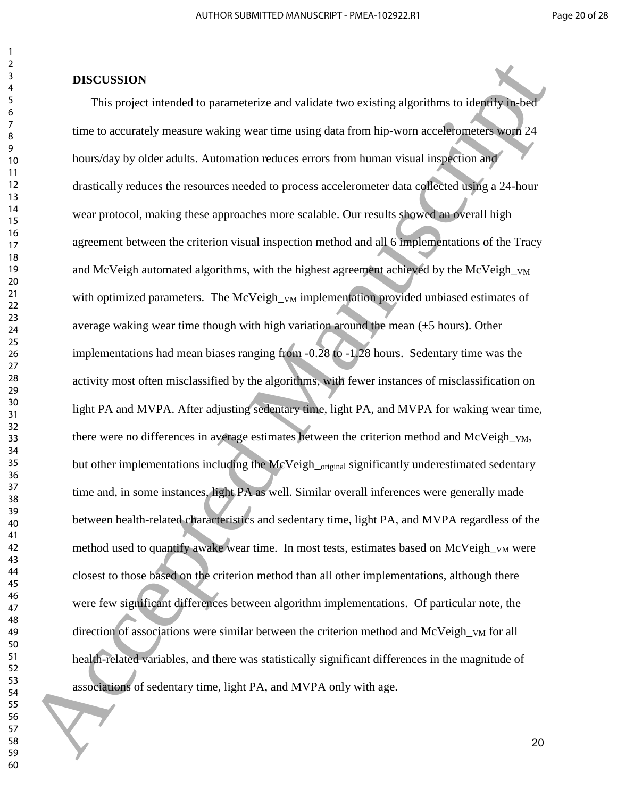#### **DISCUSSION**

This project intended to parameterize and validate two existing algorithms to identify in-bed time to accurately measure waking wear time using data from hip-worn accelerometers worn 24 hours/day by older adults. Automation reduces errors from human visual inspection and drastically reduces the resources needed to process accelerometer data collected using a 24-hour wear protocol, making these approaches more scalable. Our results showed an overall high agreement between the criterion visual inspection method and all 6 implementations of the Tracy and McVeigh automated algorithms, with the highest agreement achieved by the McVeigh\_v<sub>M</sub> with optimized parameters. The McVeigh\_<sub>VM</sub> implementation provided unbiased estimates of average waking wear time though with high variation around the mean  $(\pm 5 \text{ hours})$ . Other implementations had mean biases ranging from -0.28 to -1.28 hours. Sedentary time was the activity most often misclassified by the algorithms, with fewer instances of misclassification on light PA and MVPA. After adjusting sedentary time, light PA, and MVPA for waking wear time, there were no differences in average estimates between the criterion method and McVeigh\_VM, but other implementations including the McVeigh <sub>original</sub> significantly underestimated sedentary time and, in some instances, light PA as well. Similar overall inferences were generally made between health-related characteristics and sedentary time, light PA, and MVPA regardless of the method used to quantify awake wear time. In most tests, estimates based on McVeigh\_<sub>VM</sub> were closest to those based on the criterion method than all other implementations, although there were few significant differences between algorithm implementations. Of particular note, the direction of associations were similar between the criterion method and McVeigh<sub>\_VM</sub> for all health-related variables, and there was statistically significant differences in the magnitude of associations of sedentary time, light PA, and MVPA only with age. **IDSCUSSION**<br>
This project intended to parameterize and vididate two existing algorithms to shelp y-head<br>
from to accurately throustor westing wear time single tuto from hips-operators and 24<br>
time to accurately the maluk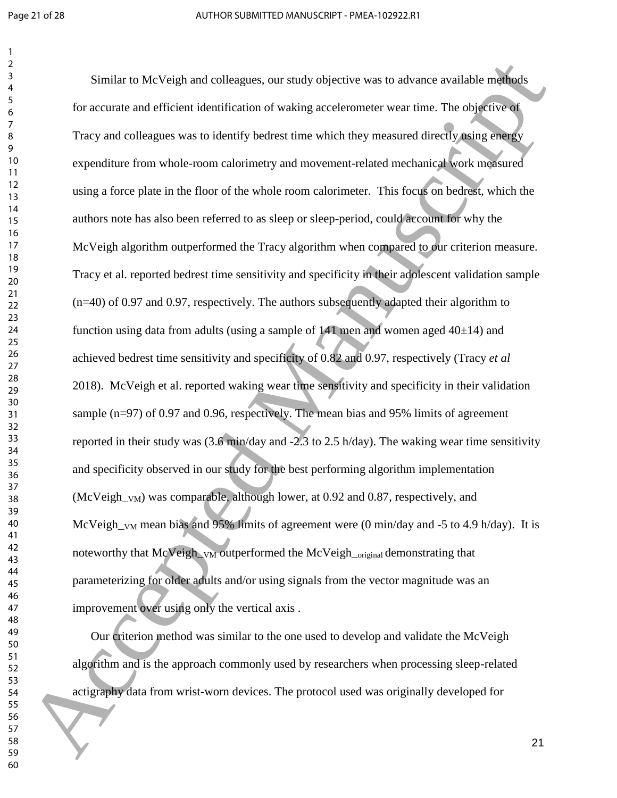Similar to McVeigh and colleagues, our study objective was to advance available methods for accurate and efficient identification of waking accelerometer wear time. The objective of Tracy and colleagues was to identify bedrest time which they measured directly using energy expenditure from whole-room calorimetry and movement-related mechanical work measured using a force plate in the floor of the whole room calorimeter. This focus on bedrest, which the authors note has also been referred to as sleep or sleep-period, could account for why the McVeigh algorithm outperformed the Tracy algorithm when compared to our criterion measure. Tracy et al. reported bedrest time sensitivity and specificity in their adolescent validation sample (n=40) of 0.97 and 0.97, respectively. The authors subsequently adapted their algorithm to function using data from adults (using a sample of men and women aged  $40\pm14$ ) and achieved bedrest time sensitivity and specificity of 0.82 and 0.97, respectively (Tracy *et al* 2018). McVeigh et al. reported waking wear time sensitivity and specificity in their validation sample (n=97) of 0.97 and 0.96, respectively. The mean bias and 95% limits of agreement reported in their study was (3.6 min/day and -2.3 to 2.5 h/day). The waking wear time sensitivity and specificity observed in our study for the best performing algorithm implementation (McVeigh  $_{\text{VM}}$ ) was comparable, although lower, at 0.92 and 0.87, respectively, and McVeigh  $_{VM}$  mean bias and 95% limits of agreement were (0 min/day and -5 to 4.9 h/day). It is noteworthy that McVeigh<sub>\_VM</sub> outperformed the McVeigh<sub>\_original</sub> demonstrating that parameterizing for older adults and/or using signals from the vector magnitude was an improvement over using only the vertical axis . Similar to McVeight and colleagues, our study objective was to advance covariate models.<br>
for accurate and efficient identification of waking accelerance wear time. The objective of<br>
Tracy and colleagues was to identify b

Our criterion method was similar to the one used to develop and validate the McVeigh algorithm and is the approach commonly used by researchers when processing sleep-related actigraphy data from wrist-worn devices. The protocol used was originally developed for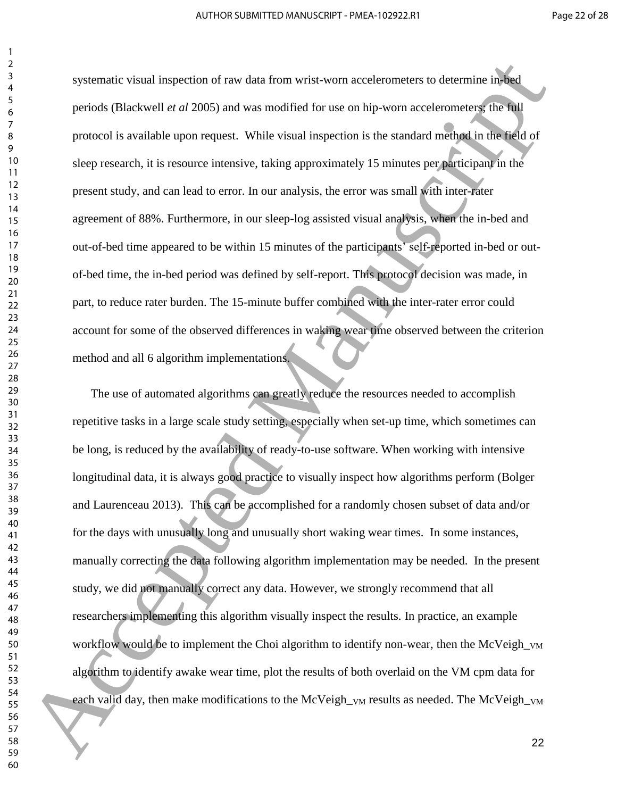systematic visual inspection of raw data from wrist-worn accelerometers to determine in-bed periods (Blackwell *et al* 2005) and was modified for use on hip-worn accelerometers; the full protocol is available upon request. While visual inspection is the standard method in the field of sleep research, it is resource intensive, taking approximately 15 minutes per participant in the present study, and can lead to error. In our analysis, the error was small with inter-rater agreement of 88%. Furthermore, in our sleep-log assisted visual analysis, when the in-bed and out-of-bed time appeared to be within 15 minutes of the participants' self-reported in-bed or outof-bed time, the in-bed period was defined by self-report. This protocol decision was made, in part, to reduce rater burden. The 15-minute buffer combined with the inter-rater error could account for some of the observed differences in waking wear time observed between the criterion method and all 6 algorithm implementations.

The use of automated algorithms can greatly reduce the resources needed to accomplish repetitive tasks in a large scale study setting, especially when set-up time, which sometimes can be long, is reduced by the availability of ready-to-use software. When working with intensive longitudinal data, it is always good practice to visually inspect how algorithms perform (Bolger and Laurenceau 2013). This can be accomplished for a randomly chosen subset of data and/or for the days with unusually long and unusually short waking wear times. In some instances, manually correcting the data following algorithm implementation may be needed. In the present study, we did not manually correct any data. However, we strongly recommend that all researchers implementing this algorithm visually inspect the results. In practice, an example workflow would be to implement the Choi algorithm to identify non-wear, then the McVeigh<sub>\_VM</sub> algorithm to identify awake wear time, plot the results of both overlaid on the VM cpm data for each valid day, then make modifications to the McVeigh  $V_M$  results as needed. The McVeigh  $V_M$ systematic visual inoperation of raw dual from serial source acceptancenters to determine indeed<br>periods (Blackwell et of 2003) and was modified for use on hip-som acceleration-step (and Manuscript and Manuscript and the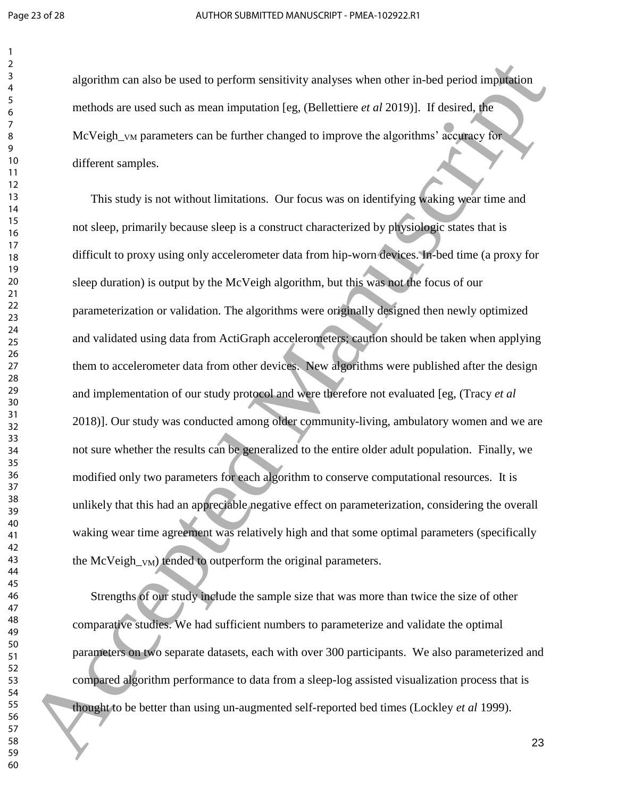algorithm can also be used to perform sensitivity analyses when other in-bed period imputation methods are used such as mean imputation [eg, (Bellettiere *et al* 2019)]. If desired, the McVeigh<sub>\_VM</sub> parameters can be further changed to improve the algorithms' accuracy for different samples.

This study is not without limitations. Our focus was on identifying waking wear time and not sleep, primarily because sleep is a construct characterized by physiologic states that is difficult to proxy using only accelerometer data from hip-worn devices. In-bed time (a proxy for sleep duration) is output by the McVeigh algorithm, but this was not the focus of our parameterization or validation. The algorithms were originally designed then newly optimized and validated using data from ActiGraph accelerometers; caution should be taken when applying them to accelerometer data from other devices. New algorithms were published after the design and implementation of our study protocol and were therefore not evaluated [eg, (Tracy *et al* 2018)]. Our study was conducted among older community-living, ambulatory women and we are not sure whether the results can be generalized to the entire older adult population. Finally, we modified only two parameters for each algorithm to conserve computational resources. It is unlikely that this had an appreciable negative effect on parameterization, considering the overall waking wear time agreement was relatively high and that some optimal parameters (specifically the McVeigh  $_{\text{VM}}$ ) tended to outperform the original parameters. digration can also be used to perform sensitivity analyses when other in-bed period implication<br>  $\frac{3}{2}$  and box's and the used such as mean imputation [eg. (Religione et al. 2019). If decised, the<br>
McVeigh systemmeters

Strengths of our study include the sample size that was more than twice the size of other comparative studies. We had sufficient numbers to parameterize and validate the optimal parameters on two separate datasets, each with over 300 participants. We also parameterized and compared algorithm performance to data from a sleep-log assisted visualization process that is thought to be better than using un-augmented self-reported bed times (Lockley *et al* 1999).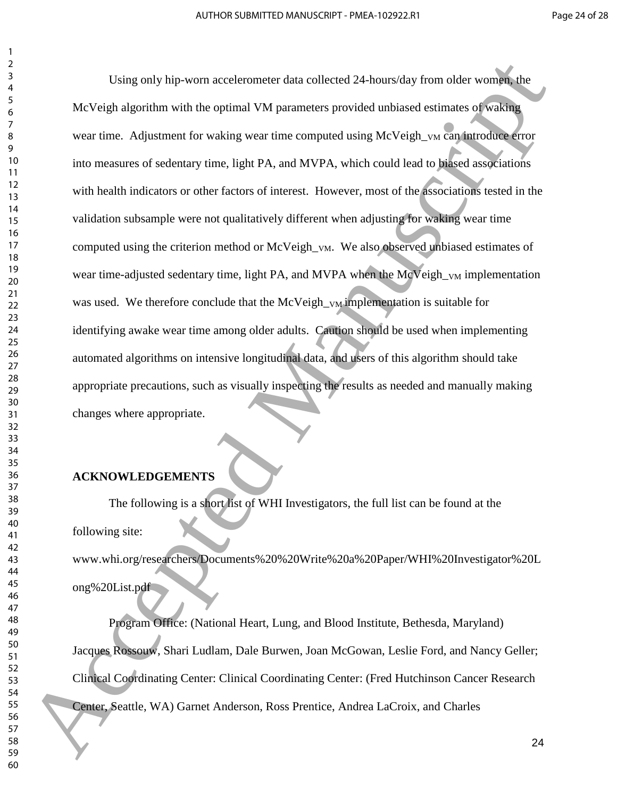Using only hip-worn accelerometer data collected 24-hours/day from older women, the McVeigh algorithm with the optimal VM parameters provided unbiased estimates of waking wear time. Adjustment for waking wear time computed using McVeigh\_<sub>VM</sub> can introduce error into measures of sedentary time, light PA, and MVPA, which could lead to biased associations with health indicators or other factors of interest. However, most of the associations tested in the validation subsample were not qualitatively different when adjusting for waking wear time computed using the criterion method or McVeigh<sub>\_VM</sub>. We also observed unbiased estimates of wear time-adjusted sedentary time, light PA, and MVPA when the McVeigh $_{\text{VM}}$  implementation was used. We therefore conclude that the McVeigh<sub>\_VM</sub> implementation is suitable for identifying awake wear time among older adults. Caution should be used when implementing automated algorithms on intensive longitudinal data, and users of this algorithm should take appropriate precautions, such as visually inspecting the results as needed and manually making changes where appropriate. Using only hip-wurn acceleratories data collected 24-humeting from older women the<br>space McVeigh algorithm with the optimal VM parameters provided unbiased estimates of scaling<br>were time. Adjustment for waking wear time c

#### **ACKNOWLEDGEMENTS**

The following is a short list of WHI Investigators, the full list can be found at the following site:

www.whi.org/researchers/Documents%20%20Write%20a%20Paper/WHI%20Investigator%20L ong%20List.pdf

Program Office: (National Heart, Lung, and Blood Institute, Bethesda, Maryland) Jacques Rossouw, Shari Ludlam, Dale Burwen, Joan McGowan, Leslie Ford, and Nancy Geller; Clinical Coordinating Center: Clinical Coordinating Center: (Fred Hutchinson Cancer Research Center, Seattle, WA) Garnet Anderson, Ross Prentice, Andrea LaCroix, and Charles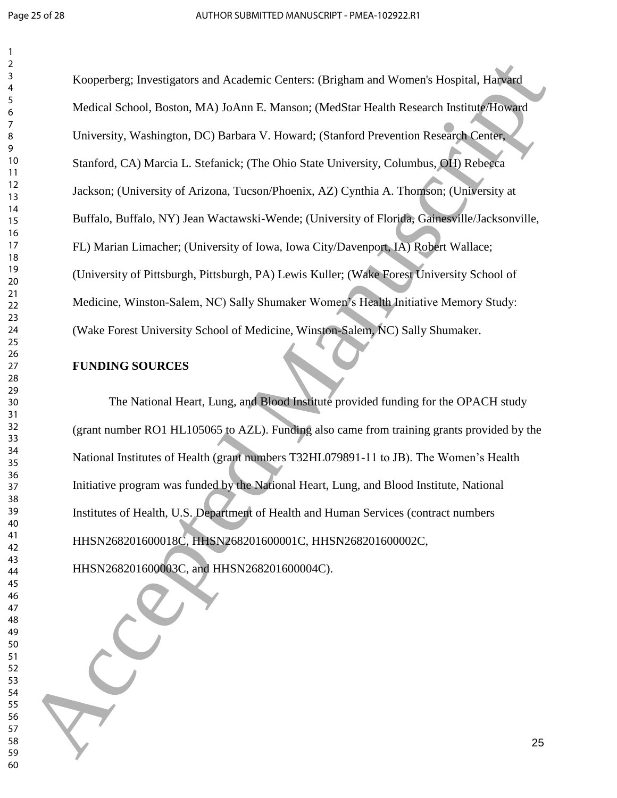Kooperberg; Investigators and Academic Centers: (Brigham and Women's Hospital, Harvard Medical School, Boston, MA) JoAnn E. Manson; (MedStar Health Research Institute/Howard University, Washington, DC) Barbara V. Howard; (Stanford Prevention Research Center, Stanford, CA) Marcia L. Stefanick; (The Ohio State University, Columbus, OH) Rebecca Jackson; (University of Arizona, Tucson/Phoenix, AZ) Cynthia A. Thomson; (University at Buffalo, Buffalo, NY) Jean Wactawski-Wende; (University of Florida, Gainesville/Jacksonville, FL) Marian Limacher; (University of Iowa, Iowa City/Davenport, IA) Robert Wallace; (University of Pittsburgh, Pittsburgh, PA) Lewis Kuller; (Wake Forest University School of Medicine, Winston-Salem, NC) Sally Shumaker Women's Health Initiative Memory Study: (Wake Forest University School of Medicine, Winston-Salem, NC) Sally Shumaker. 8<br>
6 Accepted School, Broadca, Mandemic Centers: (Urigitan and Women's Hospital, Harvard<br>
6 Accelsos School, Broadca, MAS JoAnn F. Manuscri, (MedStar Health Research Institute<br>
16 Accelsos School, Arossimpton, DC) Burbara

#### **FUNDING SOURCES**

The National Heart, Lung, and Blood Institute provided funding for the OPACH study (grant number RO1 HL105065 to AZL). Funding also came from training grants provided by the National Institutes of Health (grant numbers T32HL079891-11 to JB). The Women's Health Initiative program was funded by the National Heart, Lung, and Blood Institute, National Institutes of Health, U.S. Department of Health and Human Services (contract numbers HHSN268201600018C, HHSN268201600001C, HHSN268201600002C, HHSN268201600003C, and HHSN268201600004C).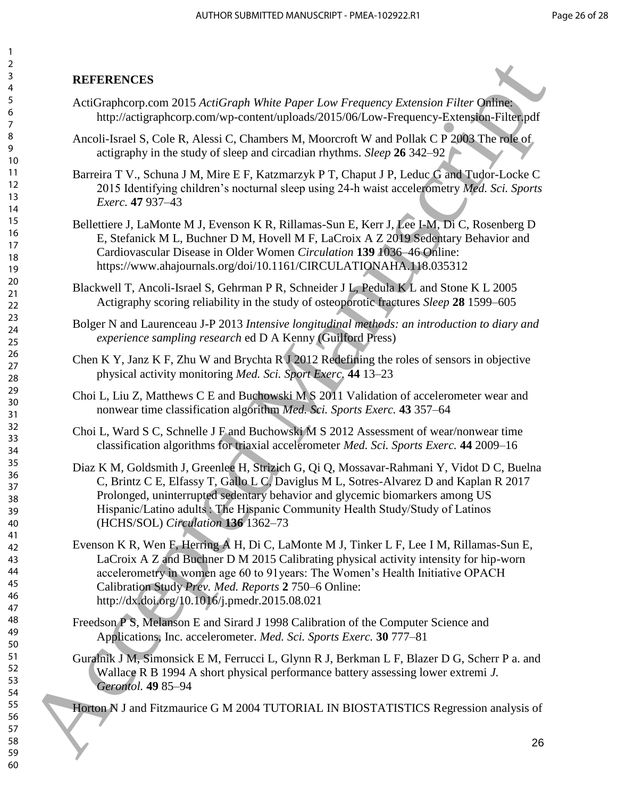#### **REFERENCES**

- ActiGraphcorp.com 2015 *ActiGraph White Paper Low Frequency Extension Filter* Online: http://actigraphcorp.com/wp-content/uploads/2015/06/Low-Frequency-Extension-Filter.pdf
- Ancoli-Israel S, Cole R, Alessi C, Chambers M, Moorcroft W and Pollak C P 2003 The role of actigraphy in the study of sleep and circadian rhythms. *Sleep* **26** 342–92
- Barreira T V., Schuna J M, Mire E F, Katzmarzyk P T, Chaput J P, Leduc G and Tudor-Locke C 2015 Identifying children's nocturnal sleep using 24-h waist accelerometry *Med. Sci. Sports Exerc.* **47** 937–43
- Bellettiere J, LaMonte M J, Evenson K R, Rillamas-Sun E, Kerr J, Lee I-M, Di C, Rosenberg D E, Stefanick M L, Buchner D M, Hovell M F, LaCroix A Z 2019 Sedentary Behavior and Cardiovascular Disease in Older Women *Circulation* **139** 1036–46 Online: https://www.ahajournals.org/doi/10.1161/CIRCULATIONAHA.118.035312
- Blackwell T, Ancoli-Israel S, Gehrman P R, Schneider J L, Pedula K L and Stone K L 2005 Actigraphy scoring reliability in the study of osteoporotic fractures *Sleep* **28** 1599–605
- Bolger N and Laurenceau J-P 2013 *Intensive longitudinal methods: an introduction to diary and experience sampling research* ed D A Kenny (Guilford Press)
- Chen K Y, Janz K F, Zhu W and Brychta R J 2012 Redefining the roles of sensors in objective physical activity monitoring *Med. Sci. Sport Exerc.* **44** 13–23
- Choi L, Liu Z, Matthews C E and Buchowski M S 2011 Validation of accelerometer wear and nonwear time classification algorithm *Med. Sci. Sports Exerc.* **43** 357–64
- Choi L, Ward S C, Schnelle J F and Buchowski M S 2012 Assessment of wear/nonwear time classification algorithms for triaxial accelerometer *Med. Sci. Sports Exerc.* **44** 2009–16
- Diaz K M, Goldsmith J, Greenlee H, Strizich G, Qi Q, Mossavar-Rahmani Y, Vidot D C, Buelna C, Brintz C E, Elfassy T, Gallo L C, Daviglus M L, Sotres-Alvarez D and Kaplan R 2017 Prolonged, uninterrupted sedentary behavior and glycemic biomarkers among US Hispanic/Latino adults : The Hispanic Community Health Study/Study of Latinos (HCHS/SOL) *Circulation* **136** 1362–73 **EXAMERING CITS<br>
Accepted Manuscription Weiver From Fronteneutr Filter Offering Accepted Manuscription (1867) Channel School Research (1868)<br>
Another School R. Manuscription (1868) Channel School Research (1868) Channel S** 
	- Evenson K R, Wen F, Herring A H, Di C, LaMonte M J, Tinker L F, Lee I M, Rillamas-Sun E, LaCroix A Z and Buchner D M 2015 Calibrating physical activity intensity for hip-worn accelerometry in women age 60 to 91years: The Women's Health Initiative OPACH Calibration Study *Prev. Med. Reports* **2** 750–6 Online: http://dx.doi.org/10.1016/j.pmedr.2015.08.021
	- Freedson P S, Melanson E and Sirard J 1998 Calibration of the Computer Science and Applications, Inc. accelerometer. *Med. Sci. Sports Exerc.* **30** 777–81
	- Guralnik J M, Simonsick E M, Ferrucci L, Glynn R J, Berkman L F, Blazer D G, Scherr P a. and Wallace R B 1994 A short physical performance battery assessing lower extremi *J. Gerontol.* **49** 85–94

Horton N J and Fitzmaurice G M 2004 TUTORIAL IN BIOSTATISTICS Regression analysis of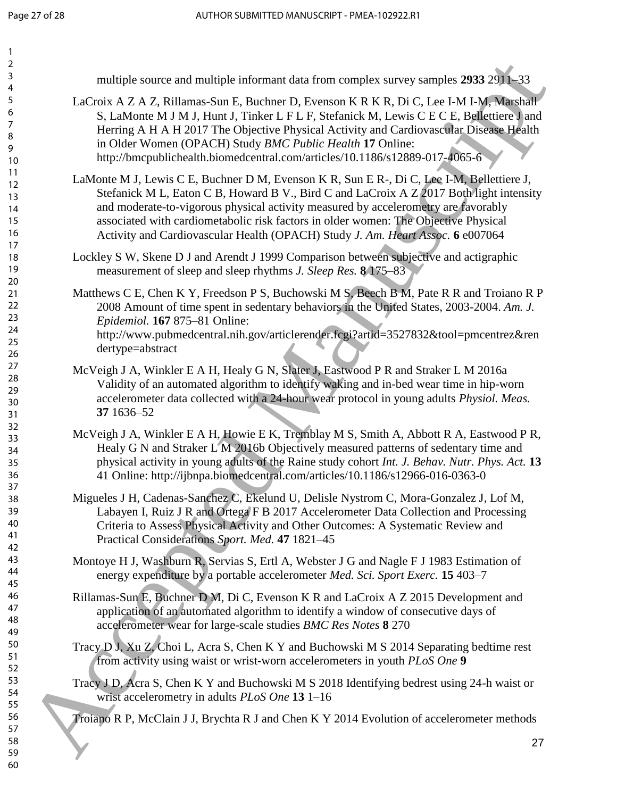| 2                                      |                                                                                                                                                                                                                                                                                                                                                                                                                                                     |
|----------------------------------------|-----------------------------------------------------------------------------------------------------------------------------------------------------------------------------------------------------------------------------------------------------------------------------------------------------------------------------------------------------------------------------------------------------------------------------------------------------|
| 3<br>4                                 | multiple source and multiple informant data from complex survey samples 2933 2911–33                                                                                                                                                                                                                                                                                                                                                                |
| 5<br>6<br>7<br>8<br>9<br>10            | LaCroix A Z A Z, Rillamas-Sun E, Buchner D, Evenson K R K R, Di C, Lee I-M I-M, Marshall<br>S, LaMonte M J M J, Hunt J, Tinker L F L F, Stefanick M, Lewis C E C E, Bellettiere J and<br>Herring A H A H 2017 The Objective Physical Activity and Cardiovascular Disease Health<br>in Older Women (OPACH) Study BMC Public Health 17 Online:<br>http://bmcpublichealth.biomedcentral.com/articles/10.1186/s12889-017-4065-6                         |
| 11<br>12<br>13<br>14<br>15<br>16<br>17 | LaMonte M J, Lewis C E, Buchner D M, Evenson K R, Sun E R-, Di C, Lee I-M, Bellettiere J,<br>Stefanick M L, Eaton C B, Howard B V., Bird C and LaCroix A Z 2017 Both light intensity<br>and moderate-to-vigorous physical activity measured by accelerometry are favorably<br>associated with cardiometabolic risk factors in older women: The Objective Physical<br>Activity and Cardiovascular Health (OPACH) Study J. Am. Heart Assoc. 6 e007064 |
| 18<br>19<br>20                         | Lockley S W, Skene D J and Arendt J 1999 Comparison between subjective and actigraphic<br>measurement of sleep and sleep rhythms <i>J. Sleep Res.</i> 8.175–83                                                                                                                                                                                                                                                                                      |
| 21<br>22<br>23<br>24<br>25             | Matthews C E, Chen K Y, Freedson P S, Buchowski M S, Beech B M, Pate R R and Troiano R P<br>2008 Amount of time spent in sedentary behaviors in the United States, 2003-2004. Am. J.<br>Epidemiol. 167 875-81 Online:<br>http://www.pubmedcentral.nih.gov/articlerender.fcgi?artid=3527832&tool=pmcentrez&ren<br>dertype=abstract                                                                                                                   |
| 26<br>27<br>28<br>29<br>30<br>31       | McVeigh J A, Winkler E A H, Healy G N, Slater J, Eastwood P R and Straker L M 2016a<br>Validity of an automated algorithm to identify waking and in-bed wear time in hip-worn<br>accelerometer data collected with a 24-hour wear protocol in young adults Physiol. Meas.<br>37 1636-52                                                                                                                                                             |
| 32<br>33<br>34<br>35<br>36<br>37       | McVeigh J A, Winkler E A H, Howie E K, Tremblay M S, Smith A, Abbott R A, Eastwood P R,<br>Healy G N and Straker L M 2016b Objectively measured patterns of sedentary time and<br>physical activity in young adults of the Raine study cohort Int. J. Behav. Nutr. Phys. Act. 13<br>41 Online: http://ijbnpa.biomedcentral.com/articles/10.1186/s12966-016-0363-0                                                                                   |
| 38<br>39<br>40<br>41<br>42             | Migueles J H, Cadenas-Sanchez C, Ekelund U, Delisle Nystrom C, Mora-Gonzalez J, Lof M,<br>Labayen I, Ruiz J R and Ortega F B 2017 Accelerometer Data Collection and Processing<br>Criteria to Assess Physical Activity and Other Outcomes: A Systematic Review and<br>Practical Considerations Sport. Med. 47 1821-45                                                                                                                               |
| 43<br>44<br>45                         | Montoye H J, Washburn R, Servias S, Ertl A, Webster J G and Nagle F J 1983 Estimation of<br>energy expenditure by a portable accelerometer Med. Sci. Sport Exerc. 15 403-7                                                                                                                                                                                                                                                                          |
| 46<br>47<br>48<br>49                   | Rillamas-Sun E, Buchner D M, Di C, Evenson K R and LaCroix A Z 2015 Development and<br>application of an automated algorithm to identify a window of consecutive days of<br>accelerometer wear for large-scale studies BMC Res Notes 8 270                                                                                                                                                                                                          |
| 50<br>51<br>52                         | Tracy D J, Xu Z, Choi L, Acra S, Chen K Y and Buchowski M S 2014 Separating bedtime rest<br>from activity using waist or wrist-worn accelerometers in youth PLoS One 9                                                                                                                                                                                                                                                                              |
| 53<br>54<br>55                         | Tracy J D, Acra S, Chen K Y and Buchowski M S 2018 Identifying bedrest using 24-h waist or<br>wrist accelerometry in adults <i>PLoS One</i> 13 1-16                                                                                                                                                                                                                                                                                                 |
| 56<br>57                               | Troiano R P, McClain J J, Brychta R J and Chen K Y 2014 Evolution of accelerometer methods                                                                                                                                                                                                                                                                                                                                                          |
| 58<br>59<br>60                         | 27                                                                                                                                                                                                                                                                                                                                                                                                                                                  |